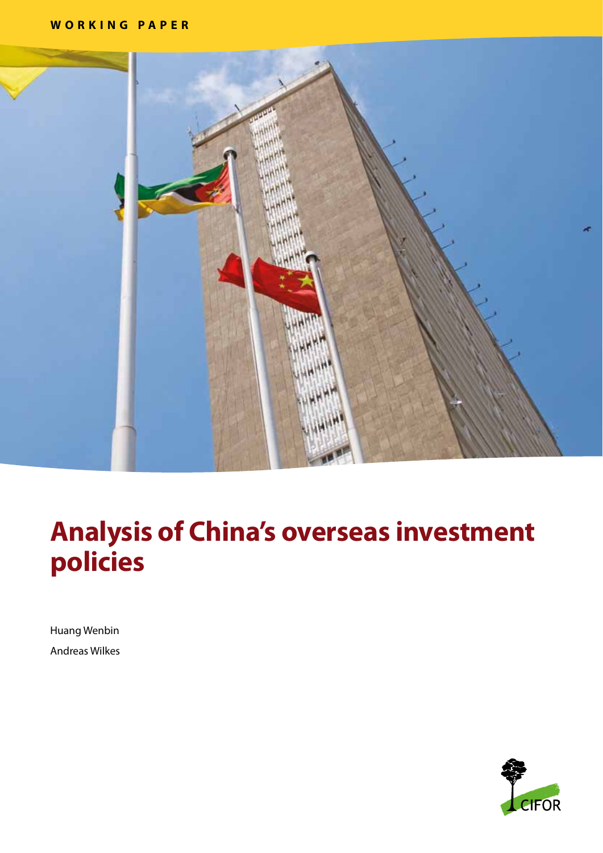

# **Analysis of China's overseas investment policies**

Huang Wenbin Andreas Wilkes

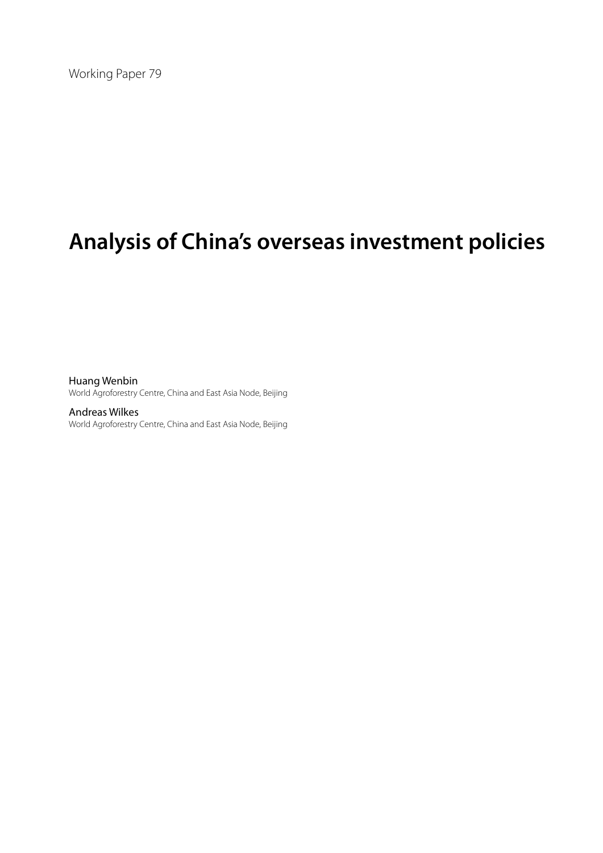Working Paper 79

# **Analysis of China's overseas investment policies**

Huang Wenbin World Agroforestry Centre, China and East Asia Node, Beijing

Andreas Wilkes World Agroforestry Centre, China and East Asia Node, Beijing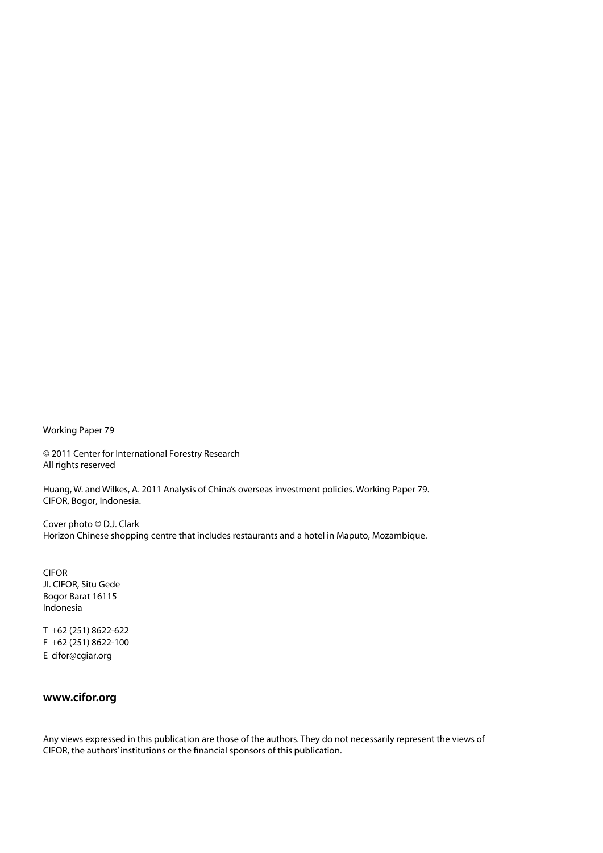Working Paper 79

© 2011 Center for International Forestry Research All rights reserved

Huang, W. and Wilkes, A. 2011 Analysis of China's overseas investment policies. Working Paper 79. CIFOR, Bogor, Indonesia.

Cover photo © D.J. Clark Horizon Chinese shopping centre that includes restaurants and a hotel in Maputo, Mozambique.

CIFOR Jl. CIFOR, Situ Gede Bogor Barat 16115 Indonesia

T +62 (251) 8622-622 F +62 (251) 8622-100 E cifor@cgiar.org

## **www.cifor.org**

Any views expressed in this publication are those of the authors. They do not necessarily represent the views of CIFOR, the authors' institutions or the financial sponsors of this publication.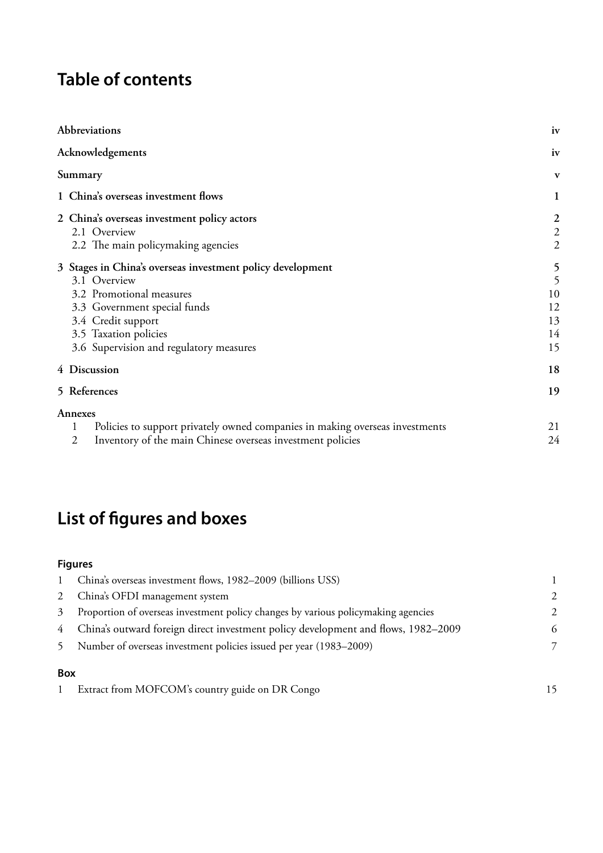# **Table of contents**

| Abbreviations                                                                                                                                                                                                                    | iv                                                   |
|----------------------------------------------------------------------------------------------------------------------------------------------------------------------------------------------------------------------------------|------------------------------------------------------|
| Acknowledgements                                                                                                                                                                                                                 | iv                                                   |
| Summary                                                                                                                                                                                                                          | $\mathbf{v}$                                         |
| 1 China's overseas investment flows                                                                                                                                                                                              | 1                                                    |
| 2 China's overseas investment policy actors<br>2.1 Overview<br>2.2 The main policymaking agencies                                                                                                                                | $\boldsymbol{2}$<br>$\overline{c}$<br>$\overline{c}$ |
| 3 Stages in China's overseas investment policy development<br>3.1 Overview<br>3.2 Promotional measures<br>3.3 Government special funds<br>3.4 Credit support<br>3.5 Taxation policies<br>3.6 Supervision and regulatory measures | 5<br>5<br>10<br>12<br>13<br>14<br>15                 |
| 4 Discussion                                                                                                                                                                                                                     | 18                                                   |
| 5 References                                                                                                                                                                                                                     | 19                                                   |
| Annexes<br>Policies to support privately owned companies in making overseas investments<br>Inventory of the main Chinese overseas investment policies<br>2                                                                       | 21<br>24                                             |

# **List of figures and boxes**

# **Figures**

| $\mathbf{1}$    | China's overseas investment flows, 1982–2009 (billions USS)                         |                |
|-----------------|-------------------------------------------------------------------------------------|----------------|
|                 | 2 China's OFDI management system                                                    | $\mathcal{L}$  |
| 3               | Proportion of overseas investment policy changes by various policy making agencies  | $\mathfrak{D}$ |
|                 | 4 China's outward foreign direct investment policy development and flows, 1982–2009 | 6              |
| 5               | Number of overseas investment policies issued per year (1983–2009)                  |                |
| D <sub>av</sub> |                                                                                     |                |

#### **Box**

|  | Extract from MOFCOM's country guide on DR Congo |  |
|--|-------------------------------------------------|--|
|--|-------------------------------------------------|--|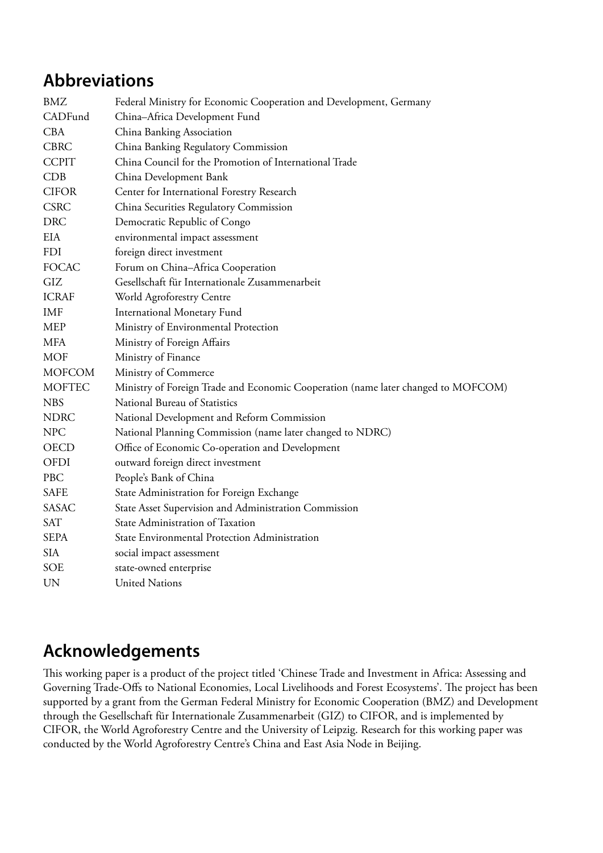# <span id="page-5-0"></span>**Abbreviations**

| <b>BMZ</b>    | Federal Ministry for Economic Cooperation and Development, Germany                |
|---------------|-----------------------------------------------------------------------------------|
| CADFund       | China-Africa Development Fund                                                     |
| <b>CBA</b>    | China Banking Association                                                         |
| <b>CBRC</b>   | China Banking Regulatory Commission                                               |
| <b>CCPIT</b>  | China Council for the Promotion of International Trade                            |
| CDB           | China Development Bank                                                            |
| <b>CIFOR</b>  | Center for International Forestry Research                                        |
| <b>CSRC</b>   | China Securities Regulatory Commission                                            |
| <b>DRC</b>    | Democratic Republic of Congo                                                      |
| <b>EIA</b>    | environmental impact assessment                                                   |
| <b>FDI</b>    | foreign direct investment                                                         |
| <b>FOCAC</b>  | Forum on China-Africa Cooperation                                                 |
| GIZ           | Gesellschaft für Internationale Zusammenarbeit                                    |
| <b>ICRAF</b>  | World Agroforestry Centre                                                         |
| <b>IMF</b>    | <b>International Monetary Fund</b>                                                |
| <b>MEP</b>    | Ministry of Environmental Protection                                              |
| <b>MFA</b>    | Ministry of Foreign Affairs                                                       |
| <b>MOF</b>    | Ministry of Finance                                                               |
| <b>MOFCOM</b> | Ministry of Commerce                                                              |
| <b>MOFTEC</b> | Ministry of Foreign Trade and Economic Cooperation (name later changed to MOFCOM) |
| <b>NBS</b>    | National Bureau of Statistics                                                     |
| <b>NDRC</b>   | National Development and Reform Commission                                        |
| <b>NPC</b>    | National Planning Commission (name later changed to NDRC)                         |
| <b>OECD</b>   | Office of Economic Co-operation and Development                                   |
| OFDI          | outward foreign direct investment                                                 |
| PBC           | People's Bank of China                                                            |
| <b>SAFE</b>   | State Administration for Foreign Exchange                                         |
| <b>SASAC</b>  | State Asset Supervision and Administration Commission                             |
| <b>SAT</b>    | State Administration of Taxation                                                  |
| <b>SEPA</b>   | State Environmental Protection Administration                                     |
| <b>SIA</b>    | social impact assessment                                                          |
| <b>SOE</b>    | state-owned enterprise                                                            |
| <b>UN</b>     | <b>United Nations</b>                                                             |

# **Acknowledgements**

This working paper is a product of the project titled 'Chinese Trade and Investment in Africa: Assessing and Governing Trade-Offs to National Economies, Local Livelihoods and Forest Ecosystems'. The project has been supported by a grant from the German Federal Ministry for Economic Cooperation (BMZ) and Development through the Gesellschaft für Internationale Zusammenarbeit (GIZ) to CIFOR, and is implemented by CIFOR, the World Agroforestry Centre and the University of Leipzig. Research for this working paper was conducted by the World Agroforestry Centre's China and East Asia Node in Beijing.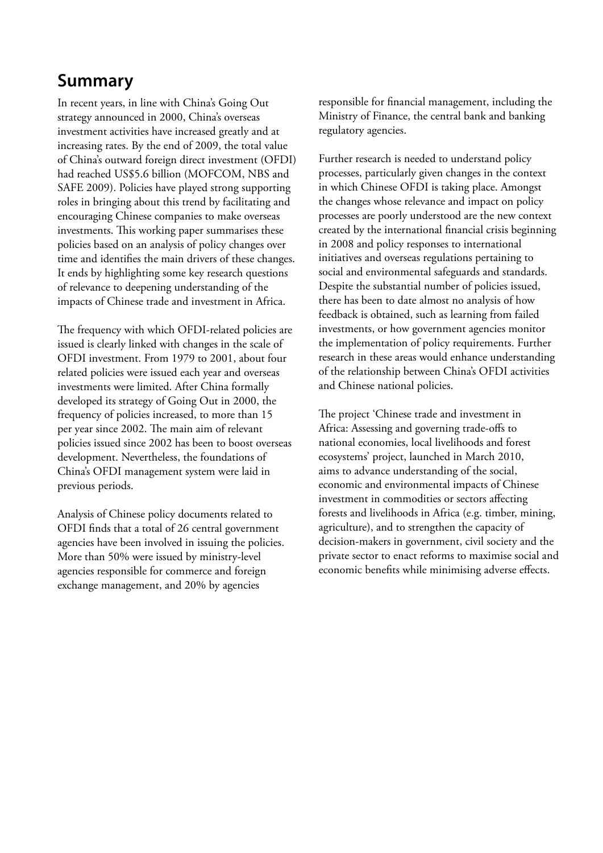# <span id="page-6-0"></span>**Summary**

In recent years, in line with China's Going Out strategy announced in 2000, China's overseas investment activities have increased greatly and at increasing rates. By the end of 2009, the total value of China's outward foreign direct investment (OFDI) had reached US\$5.6 billion (MOFCOM, NBS and SAFE 2009). Policies have played strong supporting roles in bringing about this trend by facilitating and encouraging Chinese companies to make overseas investments. This working paper summarises these policies based on an analysis of policy changes over time and identifies the main drivers of these changes. It ends by highlighting some key research questions of relevance to deepening understanding of the impacts of Chinese trade and investment in Africa.

The frequency with which OFDI-related policies are issued is clearly linked with changes in the scale of OFDI investment. From 1979 to 2001, about four related policies were issued each year and overseas investments were limited. After China formally developed its strategy of Going Out in 2000, the frequency of policies increased, to more than 15 per year since 2002. The main aim of relevant policies issued since 2002 has been to boost overseas development. Nevertheless, the foundations of China's OFDI management system were laid in previous periods.

Analysis of Chinese policy documents related to OFDI finds that a total of 26 central government agencies have been involved in issuing the policies. More than 50% were issued by ministry-level agencies responsible for commerce and foreign exchange management, and 20% by agencies

responsible for financial management, including the Ministry of Finance, the central bank and banking regulatory agencies.

Further research is needed to understand policy processes, particularly given changes in the context in which Chinese OFDI is taking place. Amongst the changes whose relevance and impact on policy processes are poorly understood are the new context created by the international financial crisis beginning in 2008 and policy responses to international initiatives and overseas regulations pertaining to social and environmental safeguards and standards. Despite the substantial number of policies issued, there has been to date almost no analysis of how feedback is obtained, such as learning from failed investments, or how government agencies monitor the implementation of policy requirements. Further research in these areas would enhance understanding of the relationship between China's OFDI activities and Chinese national policies.

The project 'Chinese trade and investment in Africa: Assessing and governing trade-offs to national economies, local livelihoods and forest ecosystems' project, launched in March 2010, aims to advance understanding of the social, economic and environmental impacts of Chinese investment in commodities or sectors affecting forests and livelihoods in Africa (e.g. timber, mining, agriculture), and to strengthen the capacity of decision-makers in government, civil society and the private sector to enact reforms to maximise social and economic benefits while minimising adverse effects.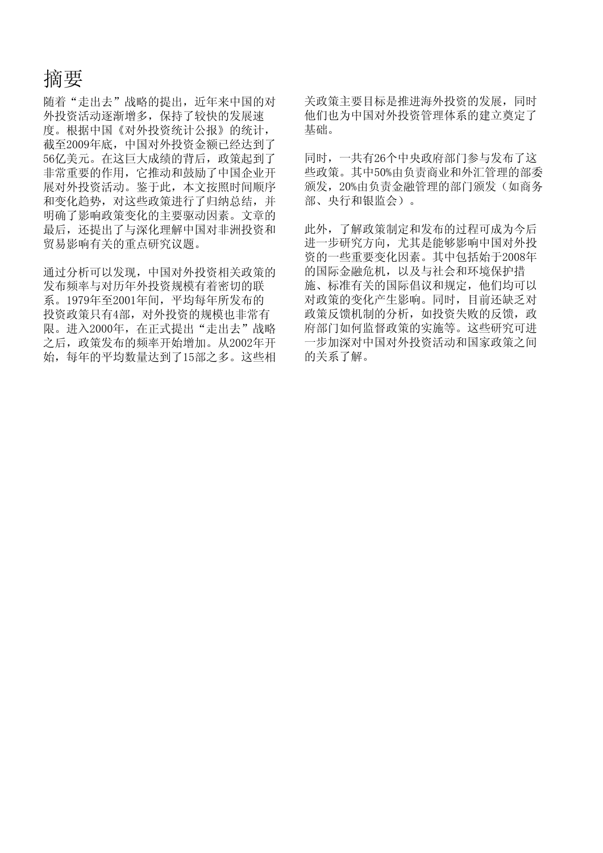# 摘要

随着"走出去"战略的提出,近年来中国的对 外投资活动逐渐增多,保持了较快的发展速 度。根据中国《对外投资统计公报》的统计, 截至2009年底,中国对外投资金额已经达到了 56亿美元。在这巨大成绩的背后,政策起到了 非常重要的作用,它推动和鼓励了中国企业开 展对外投资活动。鉴于此,本文按照时间顺序 和变化趋势,对这些政策进行了归纳总结,并 明确了影响政策变化的主要驱动因素。文章的 最后,还提出了与深化理解中国对非洲投资和 贸易影响有关的重点研究议题。

通过分析可以发现,中国对外投资相关政策的 发布频率与对历年外投资规模有着密切的联 系。1979年至2001年间,平均每年所发布的 投资政策只有4部,对外投资的规模也非常有 限。进入2000年, 在正式提出"走出去"战略 之后,政策发布的频率开始增加。从2002年开 始,每年的平均数量达到了15部之多。这些相 关政策主要目标是推进海外投资的发展,同时 他们也为中国对外投资管理体系的建立奠定了 基础。

同时,一共有26个中央政府部门参与发布了这 些政策。其中50%由负责商业和外汇管理的部委 颁发,20%由负责金融管理的部门颁发(如商务 部、央行和银监会)。

此外,了解政策制定和发布的过程可成为今后 进一步研究方向,尤其是能够影响中国对外投 资的一些重要变化因素。其中包括始于2008年 的国际金融危机,以及与社会和环境保护措 施、标准有关的国际倡议和规定,他们均可以 对政策的变化产生影响。同时,目前还缺乏对 政策反馈机制的分析, 如投资失败的反馈, 政 府部门如何监督政策的实施等。这些研究可进 一步加深对中国对外投资活动和国家政策之间 的关系了解。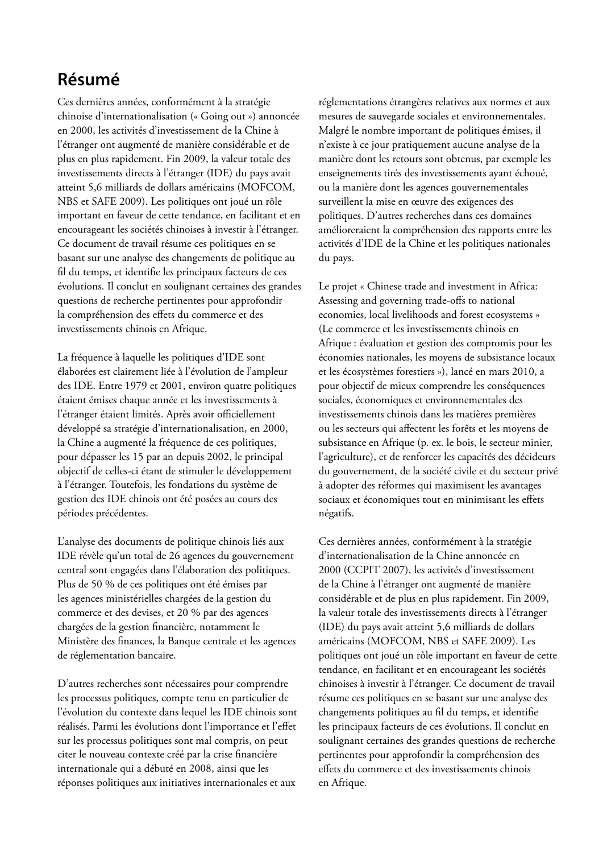# **Résumé**

Ces dernières années, conformément à la stratégie chinoise d'internationalisation (« Going out ») annoncée en 2000, les activités d'investissement de la Chine à l'étranger ont augmenté de manière considérable et de plus en plus rapidement. Fin 2009, la valeur totale des investissements directs à l'étranger (IDE) du pays avait atteint 5,6 milliards de dollars américains (MOFCOM, NBS et SAFE 2009). Les politiques ont joué un rôle important en faveur de cette tendance, en facilitant et en encourageant les sociétés chinoises à investir à l'étranger. Ce document de travail résume ces politiques en se basant sur une analyse des changements de politique au fil du temps, et identifie les principaux facteurs de ces évolutions. Il conclut en soulignant certaines des grandes questions de recherche pertinentes pour approfondir la compréhension des effets du commerce et des investissements chinois en Afrique.

La fréquence à laquelle les politiques d'IDE sont élaborées est clairement liée à l'évolution de l'ampleur des IDE. Entre 1979 et 2001, environ quatre politiques étaient émises chaque année et les investissements à l'étranger étaient limités. Après avoir officiellement développé sa stratégie d'internationalisation, en 2000, la Chine a augmenté la fréquence de ces politiques, pour dépasser les 15 par an depuis 2002, le principal objectif de celles-ci étant de stimuler le développement à l'étranger. Toutefois, les fondations du système de gestion des IDE chinois ont été posées au cours des périodes précédentes.

L'analyse des documents de politique chinois liés aux IDE révèle qu'un total de 26 agences du gouvernement central sont engagées dans l'élaboration des politiques. Plus de 50 % de ces politiques ont été émises par les agences ministérielles chargées de la gestion du commerce et des devises, et 20 % par des agences chargées de la gestion financière, notamment le Ministère des finances, la Banque centrale et les agences de réglementation bancaire.

D'autres recherches sont nécessaires pour comprendre les processus politiques, compte tenu en particulier de l'évolution du contexte dans lequel les IDE chinois sont réalisés. Parmi les évolutions dont l'importance et l'effet sur les processus politiques sont mal compris, on peut citer le nouveau contexte créé par la crise financière internationale qui a débuté en 2008, ainsi que les réponses politiques aux initiatives internationales et aux

réglementations étrangères relatives aux normes et aux mesures de sauvegarde sociales et environnementales. Malgré le nombre important de politiques émises, il n'existe à ce jour pratiquement aucune analyse de la manière dont les retours sont obtenus, par exemple les enseignements tirés des investissements ayant échoué, ou la manière dont les agences gouvernementales surveillent la mise en œuvre des exigences des politiques. D'autres recherches dans ces domaines amélioreraient la compréhension des rapports entre les activités d'IDE de la Chine et les politiques nationales du pays.

Le projet « Chinese trade and investment in Africa: Assessing and governing trade-offs to national economies, local livelihoods and forest ecosystems » (Le commerce et les investissements chinois en Afrique : évaluation et gestion des compromis pour les économies nationales, les moyens de subsistance locaux et les écosystèmes forestiers »), lancé en mars 2010, a pour objectif de mieux comprendre les conséquences sociales, économiques et environnementales des investissements chinois dans les matières premières ou les secteurs qui affectent les forêts et les moyens de subsistance en Afrique (p. ex. le bois, le secteur minier, l'agriculture), et de renforcer les capacités des décideurs du gouvernement, de la société civile et du secteur privé à adopter des réformes qui maximisent les avantages sociaux et économiques tout en minimisant les effets négatifs.

Ces dernières années, conformément à la stratégie d'internationalisation de la Chine annoncée en 2000 (CCPIT 2007), les activités d'investissement de la Chine à l'étranger ont augmenté de manière considérable et de plus en plus rapidement. Fin 2009, la valeur totale des investissements directs à l'étranger (IDE) du pays avait atteint 5,6 milliards de dollars américains (MOFCOM, NBS et SAFE 2009). Les politiques ont joué un rôle important en faveur de cette tendance, en facilitant et en encourageant les sociétés chinoises à investir à l'étranger. Ce document de travail résume ces politiques en se basant sur une analyse des changements politiques au fil du temps, et identifie les principaux facteurs de ces évolutions. Il conclut en soulignant certaines des grandes questions de recherche pertinentes pour approfondir la compréhension des effets du commerce et des investissements chinois en Afrique.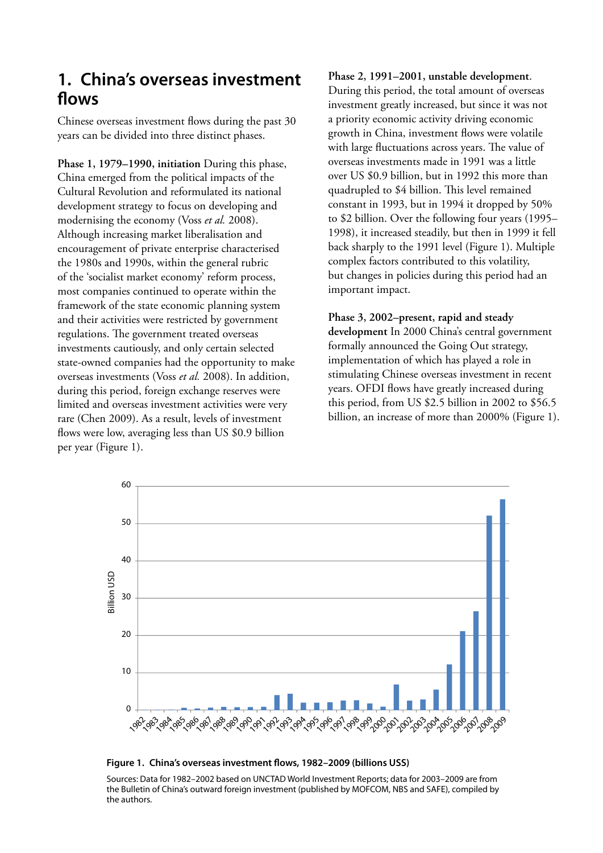# <span id="page-10-0"></span>**1. China's overseas investment flows**

Chinese overseas investment flows during the past 30 years can be divided into three distinct phases.

**Phase 1, 1979–1990, initiation** During this phase, China emerged from the political impacts of the Cultural Revolution and reformulated its national development strategy to focus on developing and modernising the economy (Voss *et al.* 2008). Although increasing market liberalisation and encouragement of private enterprise characterised the 1980s and 1990s, within the general rubric of the 'socialist market economy' reform process, most companies continued to operate within the framework of the state economic planning system and their activities were restricted by government regulations. The government treated overseas investments cautiously, and only certain selected state-owned companies had the opportunity to make overseas investments (Voss *et al.* 2008). In addition, during this period, foreign exchange reserves were limited and overseas investment activities were very rare (Chen 2009). As a result, levels of investment flows were low, averaging less than US \$0.9 billion per year (Figure 1).

**Phase 2, 1991–2001, unstable development**. During this period, the total amount of overseas investment greatly increased, but since it was not a priority economic activity driving economic growth in China, investment flows were volatile with large fluctuations across years. The value of overseas investments made in 1991 was a little over US \$0.9 billion, but in 1992 this more than quadrupled to \$4 billion. This level remained constant in 1993, but in 1994 it dropped by 50% to \$2 billion. Over the following four years (1995– 1998), it increased steadily, but then in 1999 it fell back sharply to the 1991 level (Figure 1). Multiple complex factors contributed to this volatility, but changes in policies during this period had an important impact.

#### **Phase 3, 2002–present, rapid and steady**

**development** In 2000 China's central government formally announced the Going Out strategy, implementation of which has played a role in stimulating Chinese overseas investment in recent years. OFDI flows have greatly increased during this period, from US \$2.5 billion in 2002 to \$56.5 billion, an increase of more than 2000% (Figure 1).



**Figure 1. China's overseas investment flows, 1982–2009 (billions USS)**

Sources: Data for 1982–2002 based on UNCTAD World Investment Reports; data for 2003–2009 are from the Bulletin of China's outward foreign investment (published by MOFCOM, NBS and SAFE), compiled by the authors.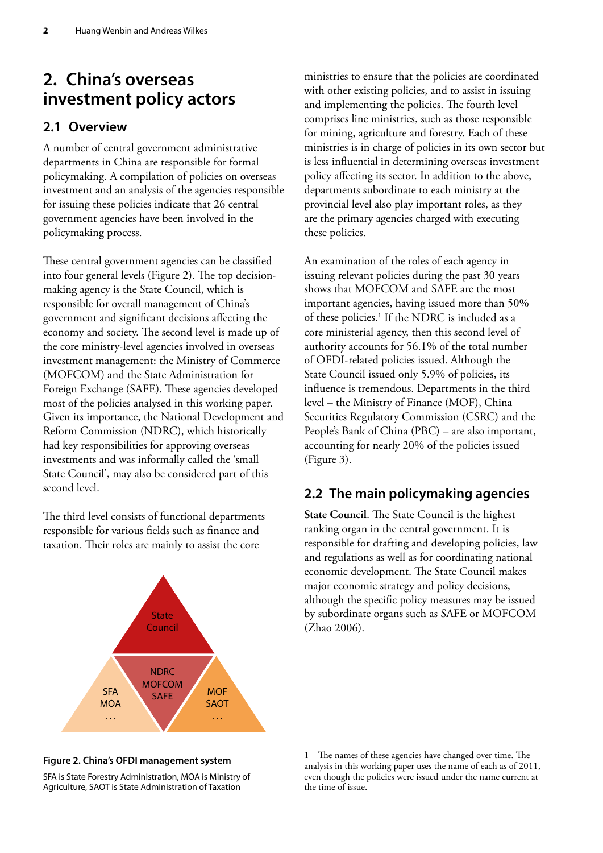# <span id="page-11-0"></span>**2. China's overseas investment policy actors**

## **2.1 Overview**

A number of central government administrative departments in China are responsible for formal policymaking. A compilation of policies on overseas investment and an analysis of the agencies responsible for issuing these policies indicate that 26 central government agencies have been involved in the policymaking process.

These central government agencies can be classified into four general levels (Figure 2). The top decisionmaking agency is the State Council, which is responsible for overall management of China's government and significant decisions affecting the economy and society. The second level is made up of the core ministry-level agencies involved in overseas investment management: the Ministry of Commerce (MOFCOM) and the State Administration for Foreign Exchange (SAFE). These agencies developed most of the policies analysed in this working paper. Given its importance, the National Development and Reform Commission (NDRC), which historically had key responsibilities for approving overseas investments and was informally called the 'small State Council', may also be considered part of this second level.

The third level consists of functional departments responsible for various fields such as finance and taxation. Their roles are mainly to assist the core



ministries to ensure that the policies are coordinated with other existing policies, and to assist in issuing and implementing the policies. The fourth level comprises line ministries, such as those responsible for mining, agriculture and forestry. Each of these ministries is in charge of policies in its own sector but is less influential in determining overseas investment policy affecting its sector. In addition to the above, departments subordinate to each ministry at the provincial level also play important roles, as they are the primary agencies charged with executing these policies.

An examination of the roles of each agency in issuing relevant policies during the past 30 years shows that MOFCOM and SAFE are the most important agencies, having issued more than 50% of these policies.<sup>1</sup> If the NDRC is included as a core ministerial agency, then this second level of authority accounts for 56.1% of the total number of OFDI-related policies issued. Although the State Council issued only 5.9% of policies, its influence is tremendous. Departments in the third level – the Ministry of Finance (MOF), China Securities Regulatory Commission (CSRC) and the People's Bank of China (PBC) – are also important, accounting for nearly 20% of the policies issued (Figure 3).

## **2.2 The main policymaking agencies**

**State Council**. The State Council is the highest ranking organ in the central government. It is responsible for drafting and developing policies, law and regulations as well as for coordinating national economic development. The State Council makes major economic strategy and policy decisions, although the specific policy measures may be issued by subordinate organs such as SAFE or MOFCOM (Zhao 2006).

#### **Figure 2. China's OFDI management system**

SFA is State Forestry Administration, MOA is Ministry of Agriculture, SAOT is State Administration of Taxation

The names of these agencies have changed over time. The analysis in this working paper uses the name of each as of 2011, even though the policies were issued under the name current at the time of issue.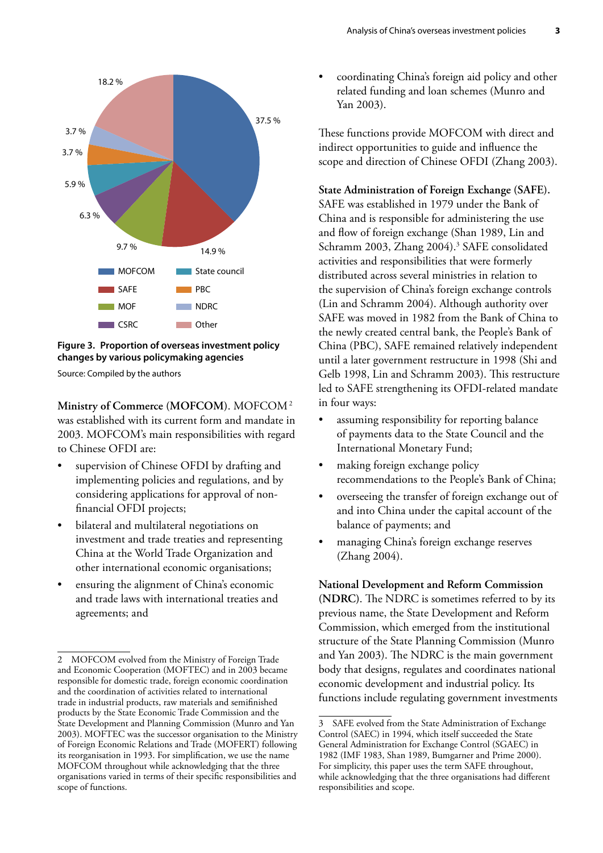

**Figure 3. Proportion of overseas investment policy changes by various policymaking agencies**

Source: Compiled by the authors

**Ministry of Commerce (MOFCOM)**. MOFCOM2 was established with its current form and mandate in 2003. MOFCOM's main responsibilities with regard to Chinese OFDI are:

- supervision of Chinese OFDI by drafting and implementing policies and regulations, and by considering applications for approval of nonfinancial OFDI projects;
- bilateral and multilateral negotiations on investment and trade treaties and representing China at the World Trade Organization and other international economic organisations;
- ensuring the alignment of China's economic and trade laws with international treaties and agreements; and

• coordinating China's foreign aid policy and other related funding and loan schemes (Munro and Yan 2003).

These functions provide MOFCOM with direct and indirect opportunities to guide and influence the scope and direction of Chinese OFDI (Zhang 2003).

#### **State Administration of Foreign Exchange (SAFE).**

SAFE was established in 1979 under the Bank of China and is responsible for administering the use and flow of foreign exchange (Shan 1989, Lin and Schramm 2003, Zhang 2004).<sup>3</sup> SAFE consolidated activities and responsibilities that were formerly distributed across several ministries in relation to the supervision of China's foreign exchange controls (Lin and Schramm 2004). Although authority over SAFE was moved in 1982 from the Bank of China to the newly created central bank, the People's Bank of China (PBC), SAFE remained relatively independent until a later government restructure in 1998 (Shi and Gelb 1998, Lin and Schramm 2003). This restructure led to SAFE strengthening its OFDI-related mandate in four ways:

- assuming responsibility for reporting balance of payments data to the State Council and the International Monetary Fund;
- making foreign exchange policy recommendations to the People's Bank of China;
- overseeing the transfer of foreign exchange out of and into China under the capital account of the balance of payments; and
- managing China's foreign exchange reserves (Zhang 2004).

**National Development and Reform Commission (NDRC)**. The NDRC is sometimes referred to by its previous name, the State Development and Reform Commission, which emerged from the institutional structure of the State Planning Commission (Munro and Yan 2003). The NDRC is the main government body that designs, regulates and coordinates national economic development and industrial policy. Its functions include regulating government investments

<sup>2</sup> MOFCOM evolved from the Ministry of Foreign Trade and Economic Cooperation (MOFTEC) and in 2003 became responsible for domestic trade, foreign economic coordination and the coordination of activities related to international trade in industrial products, raw materials and semifinished products by the State Economic Trade Commission and the State Development and Planning Commission (Munro and Yan 2003). MOFTEC was the successor organisation to the Ministry of Foreign Economic Relations and Trade (MOFERT) following its reorganisation in 1993. For simplification, we use the name MOFCOM throughout while acknowledging that the three organisations varied in terms of their specific responsibilities and scope of functions.

<sup>3</sup> SAFE evolved from the State Administration of Exchange Control (SAEC) in 1994, which itself succeeded the State General Administration for Exchange Control (SGAEC) in 1982 (IMF 1983, Shan 1989, Bumgarner and Prime 2000). For simplicity, this paper uses the term SAFE throughout, while acknowledging that the three organisations had different responsibilities and scope.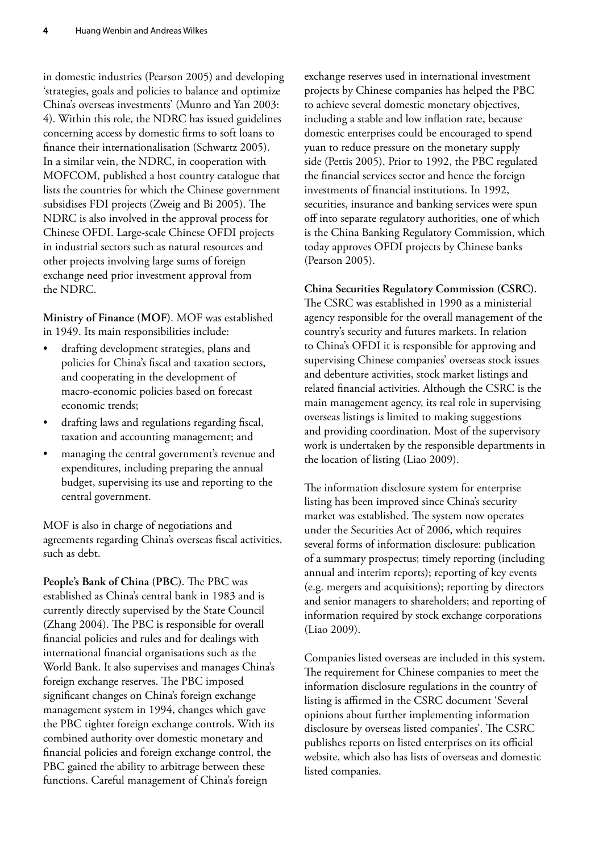in domestic industries (Pearson 2005) and developing 'strategies, goals and policies to balance and optimize China's overseas investments' (Munro and Yan 2003: 4). Within this role, the NDRC has issued guidelines concerning access by domestic firms to soft loans to finance their internationalisation (Schwartz 2005). In a similar vein, the NDRC, in cooperation with MOFCOM, published a host country catalogue that lists the countries for which the Chinese government subsidises FDI projects (Zweig and Bi 2005). The NDRC is also involved in the approval process for Chinese OFDI. Large-scale Chinese OFDI projects in industrial sectors such as natural resources and other projects involving large sums of foreign exchange need prior investment approval from the NDRC.

**Ministry of Finance (MOF)**. MOF was established in 1949. Its main responsibilities include:

- drafting development strategies, plans and policies for China's fiscal and taxation sectors, and cooperating in the development of macro-economic policies based on forecast economic trends;
- drafting laws and regulations regarding fiscal, taxation and accounting management; and
- managing the central government's revenue and expenditures, including preparing the annual budget, supervising its use and reporting to the central government.

MOF is also in charge of negotiations and agreements regarding China's overseas fiscal activities, such as debt.

**People's Bank of China (PBC)**. The PBC was established as China's central bank in 1983 and is currently directly supervised by the State Council (Zhang 2004). The PBC is responsible for overall financial policies and rules and for dealings with international financial organisations such as the World Bank. It also supervises and manages China's foreign exchange reserves. The PBC imposed significant changes on China's foreign exchange management system in 1994, changes which gave the PBC tighter foreign exchange controls. With its combined authority over domestic monetary and financial policies and foreign exchange control, the PBC gained the ability to arbitrage between these functions. Careful management of China's foreign

exchange reserves used in international investment projects by Chinese companies has helped the PBC to achieve several domestic monetary objectives, including a stable and low inflation rate, because domestic enterprises could be encouraged to spend yuan to reduce pressure on the monetary supply side (Pettis 2005). Prior to 1992, the PBC regulated the financial services sector and hence the foreign investments of financial institutions. In 1992, securities, insurance and banking services were spun off into separate regulatory authorities, one of which is the China Banking Regulatory Commission, which today approves OFDI projects by Chinese banks (Pearson 2005).

**China Securities Regulatory Commission (CSRC).**  The CSRC was established in 1990 as a ministerial agency responsible for the overall management of the country's security and futures markets. In relation to China's OFDI it is responsible for approving and supervising Chinese companies' overseas stock issues and debenture activities, stock market listings and related financial activities. Although the CSRC is the main management agency, its real role in supervising overseas listings is limited to making suggestions and providing coordination. Most of the supervisory work is undertaken by the responsible departments in the location of listing (Liao 2009).

The information disclosure system for enterprise listing has been improved since China's security market was established. The system now operates under the Securities Act of 2006, which requires several forms of information disclosure: publication of a summary prospectus; timely reporting (including annual and interim reports); reporting of key events (e.g. mergers and acquisitions); reporting by directors and senior managers to shareholders; and reporting of information required by stock exchange corporations (Liao 2009).

Companies listed overseas are included in this system. The requirement for Chinese companies to meet the information disclosure regulations in the country of listing is affirmed in the CSRC document 'Several opinions about further implementing information disclosure by overseas listed companies'. The CSRC publishes reports on listed enterprises on its official website, which also has lists of overseas and domestic listed companies.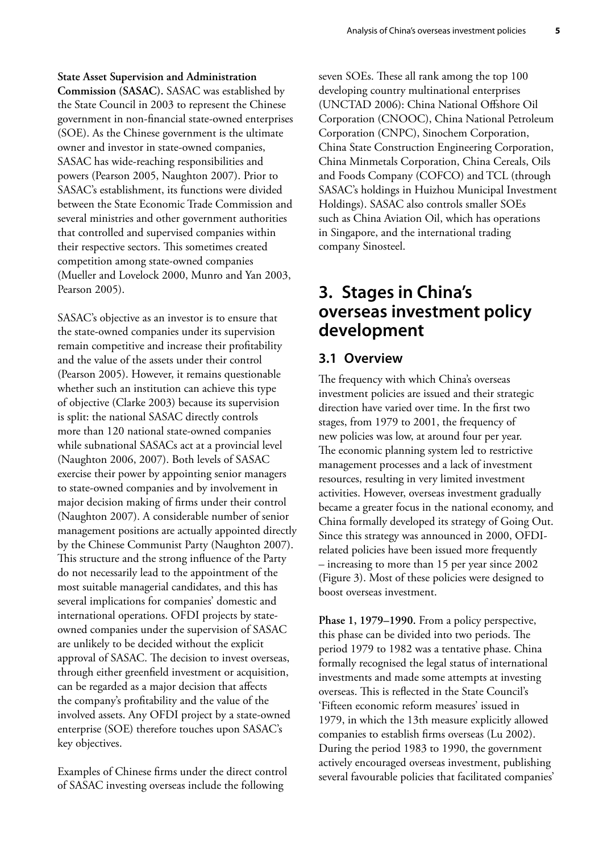<span id="page-14-0"></span>**State Asset Supervision and Administration Commission (SASAC).** SASAC was established by the State Council in 2003 to represent the Chinese government in non-financial state-owned enterprises (SOE). As the Chinese government is the ultimate owner and investor in state-owned companies, SASAC has wide-reaching responsibilities and powers (Pearson 2005, Naughton 2007). Prior to SASAC's establishment, its functions were divided between the State Economic Trade Commission and several ministries and other government authorities that controlled and supervised companies within their respective sectors. This sometimes created competition among state-owned companies (Mueller and Lovelock 2000, Munro and Yan 2003, Pearson 2005).

SASAC's objective as an investor is to ensure that the state-owned companies under its supervision remain competitive and increase their profitability and the value of the assets under their control (Pearson 2005). However, it remains questionable whether such an institution can achieve this type of objective (Clarke 2003) because its supervision is split: the national SASAC directly controls more than 120 national state-owned companies while subnational SASACs act at a provincial level (Naughton 2006, 2007). Both levels of SASAC exercise their power by appointing senior managers to state-owned companies and by involvement in major decision making of firms under their control (Naughton 2007). A considerable number of senior management positions are actually appointed directly by the Chinese Communist Party (Naughton 2007). This structure and the strong influence of the Party do not necessarily lead to the appointment of the most suitable managerial candidates, and this has several implications for companies' domestic and international operations. OFDI projects by stateowned companies under the supervision of SASAC are unlikely to be decided without the explicit approval of SASAC. The decision to invest overseas, through either greenfield investment or acquisition, can be regarded as a major decision that affects the company's profitability and the value of the involved assets. Any OFDI project by a state-owned enterprise (SOE) therefore touches upon SASAC's key objectives.

Examples of Chinese firms under the direct control of SASAC investing overseas include the following

seven SOEs. These all rank among the top 100 developing country multinational enterprises (UNCTAD 2006): China National Offshore Oil Corporation (CNOOC), China National Petroleum Corporation (CNPC), Sinochem Corporation, China State Construction Engineering Corporation, China Minmetals Corporation, China Cereals, Oils and Foods Company (COFCO) and TCL (through SASAC's holdings in Huizhou Municipal Investment Holdings). SASAC also controls smaller SOEs such as China Aviation Oil, which has operations in Singapore, and the international trading company Sinosteel.

# **3. Stages in China's overseas investment policy development**

#### **3.1 Overview**

The frequency with which China's overseas investment policies are issued and their strategic direction have varied over time. In the first two stages, from 1979 to 2001, the frequency of new policies was low, at around four per year. The economic planning system led to restrictive management processes and a lack of investment resources, resulting in very limited investment activities. However, overseas investment gradually became a greater focus in the national economy, and China formally developed its strategy of Going Out. Since this strategy was announced in 2000, OFDIrelated policies have been issued more frequently – increasing to more than 15 per year since 2002 (Figure 3). Most of these policies were designed to boost overseas investment.

**Phase 1, 1979–1990.** From a policy perspective, this phase can be divided into two periods. The period 1979 to 1982 was a tentative phase. China formally recognised the legal status of international investments and made some attempts at investing overseas. This is reflected in the State Council's 'Fifteen economic reform measures' issued in 1979, in which the 13th measure explicitly allowed companies to establish firms overseas (Lu 2002). During the period 1983 to 1990, the government actively encouraged overseas investment, publishing several favourable policies that facilitated companies'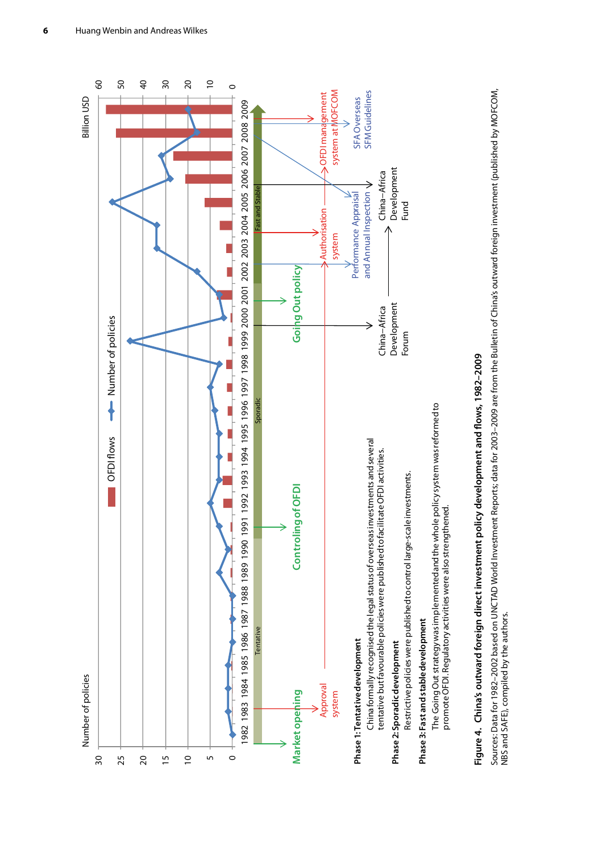<span id="page-15-0"></span>

# Figure 4. China's outward foreign direct investment policy development and flows, 1982-2009 **Figure 4. China's outward foreign direct investment policy development and flows, 1982–2009**

Sources: Data for 1982–2002 based on UNCTAD World Investment Reports; data for 2003–2009 are from the Bulletin of China's outward foreign investment (published by MOFCOM, Sources: Data for 1982–2002 based on UNCTAD World Investment Reports; data for 2003–2009 are from the Bulletin of China's outward foreign investment (published by MOFCOM,<br>NBS and SAFE), compiled by the authors. NBS and SAFE), compiled by the authors.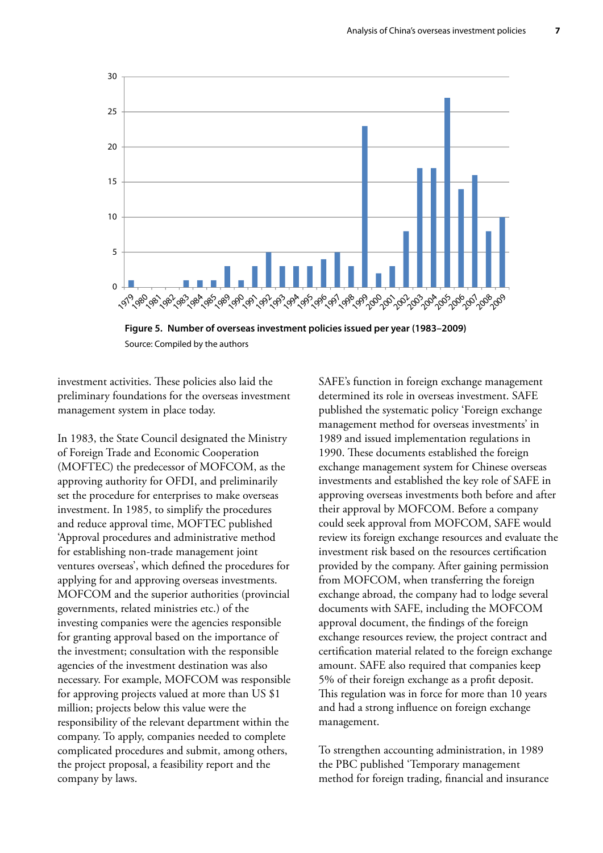<span id="page-16-0"></span>

**Figure 5. Number of overseas investment policies issued per year (1983–2009)** Source: Compiled by the authors

investment activities. These policies also laid the preliminary foundations for the overseas investment management system in place today.

In 1983, the State Council designated the Ministry of Foreign Trade and Economic Cooperation (MOFTEC) the predecessor of MOFCOM, as the approving authority for OFDI, and preliminarily set the procedure for enterprises to make overseas investment. In 1985, to simplify the procedures and reduce approval time, MOFTEC published 'Approval procedures and administrative method for establishing non-trade management joint ventures overseas', which defined the procedures for applying for and approving overseas investments. MOFCOM and the superior authorities (provincial governments, related ministries etc.) of the investing companies were the agencies responsible for granting approval based on the importance of the investment; consultation with the responsible agencies of the investment destination was also necessary. For example, MOFCOM was responsible for approving projects valued at more than US \$1 million; projects below this value were the responsibility of the relevant department within the company. To apply, companies needed to complete complicated procedures and submit, among others, the project proposal, a feasibility report and the company by laws.

SAFE's function in foreign exchange management determined its role in overseas investment. SAFE published the systematic policy 'Foreign exchange management method for overseas investments' in 1989 and issued implementation regulations in 1990. These documents established the foreign exchange management system for Chinese overseas investments and established the key role of SAFE in approving overseas investments both before and after their approval by MOFCOM. Before a company could seek approval from MOFCOM, SAFE would review its foreign exchange resources and evaluate the investment risk based on the resources certification provided by the company. After gaining permission from MOFCOM, when transferring the foreign exchange abroad, the company had to lodge several documents with SAFE, including the MOFCOM approval document, the findings of the foreign exchange resources review, the project contract and certification material related to the foreign exchange amount. SAFE also required that companies keep 5% of their foreign exchange as a profit deposit. This regulation was in force for more than 10 years and had a strong influence on foreign exchange management.

To strengthen accounting administration, in 1989 the PBC published 'Temporary management method for foreign trading, financial and insurance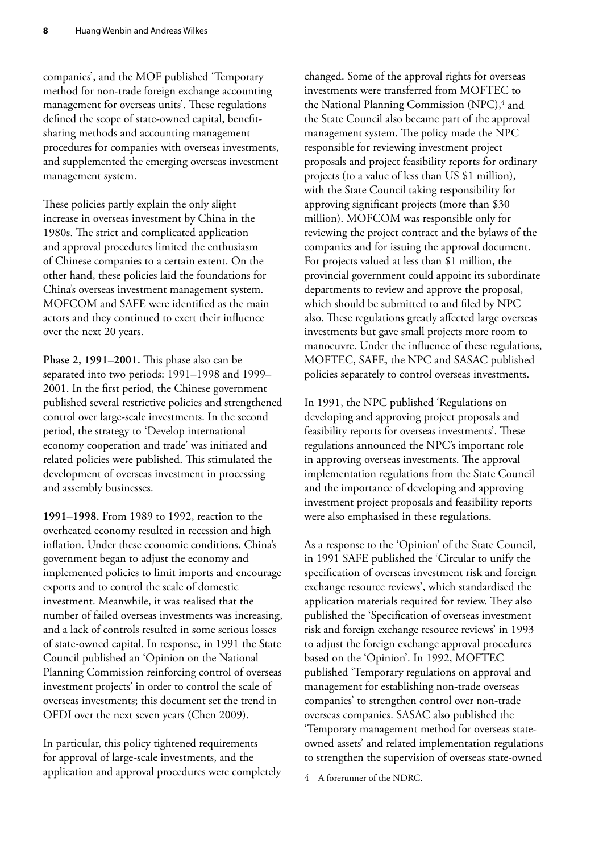companies', and the MOF published 'Temporary method for non-trade foreign exchange accounting management for overseas units'. These regulations defined the scope of state-owned capital, benefitsharing methods and accounting management procedures for companies with overseas investments, and supplemented the emerging overseas investment management system.

These policies partly explain the only slight increase in overseas investment by China in the 1980s. The strict and complicated application and approval procedures limited the enthusiasm of Chinese companies to a certain extent. On the other hand, these policies laid the foundations for China's overseas investment management system. MOFCOM and SAFE were identified as the main actors and they continued to exert their influence over the next 20 years.

**Phase 2, 1991–2001.** This phase also can be separated into two periods: 1991–1998 and 1999– 2001. In the first period, the Chinese government published several restrictive policies and strengthened control over large-scale investments. In the second period, the strategy to 'Develop international economy cooperation and trade' was initiated and related policies were published. This stimulated the development of overseas investment in processing and assembly businesses.

**1991–1998.** From 1989 to 1992, reaction to the overheated economy resulted in recession and high inflation. Under these economic conditions, China's government began to adjust the economy and implemented policies to limit imports and encourage exports and to control the scale of domestic investment. Meanwhile, it was realised that the number of failed overseas investments was increasing, and a lack of controls resulted in some serious losses of state-owned capital. In response, in 1991 the State Council published an 'Opinion on the National Planning Commission reinforcing control of overseas investment projects' in order to control the scale of overseas investments; this document set the trend in OFDI over the next seven years (Chen 2009).

In particular, this policy tightened requirements for approval of large-scale investments, and the application and approval procedures were completely

changed. Some of the approval rights for overseas investments were transferred from MOFTEC to the National Planning Commission (NPC),<sup>4</sup> and the State Council also became part of the approval management system. The policy made the NPC responsible for reviewing investment project proposals and project feasibility reports for ordinary projects (to a value of less than US \$1 million), with the State Council taking responsibility for approving significant projects (more than \$30 million). MOFCOM was responsible only for reviewing the project contract and the bylaws of the companies and for issuing the approval document. For projects valued at less than \$1 million, the provincial government could appoint its subordinate departments to review and approve the proposal, which should be submitted to and filed by NPC also. These regulations greatly affected large overseas investments but gave small projects more room to manoeuvre. Under the influence of these regulations, MOFTEC, SAFE, the NPC and SASAC published policies separately to control overseas investments.

In 1991, the NPC published 'Regulations on developing and approving project proposals and feasibility reports for overseas investments'. These regulations announced the NPC's important role in approving overseas investments. The approval implementation regulations from the State Council and the importance of developing and approving investment project proposals and feasibility reports were also emphasised in these regulations.

As a response to the 'Opinion' of the State Council, in 1991 SAFE published the 'Circular to unify the specification of overseas investment risk and foreign exchange resource reviews', which standardised the application materials required for review. They also published the 'Specification of overseas investment risk and foreign exchange resource reviews' in 1993 to adjust the foreign exchange approval procedures based on the 'Opinion'. In 1992, MOFTEC published 'Temporary regulations on approval and management for establishing non-trade overseas companies' to strengthen control over non-trade overseas companies. SASAC also published the 'Temporary management method for overseas stateowned assets' and related implementation regulations to strengthen the supervision of overseas state-owned

<sup>4</sup> A forerunner of the NDRC.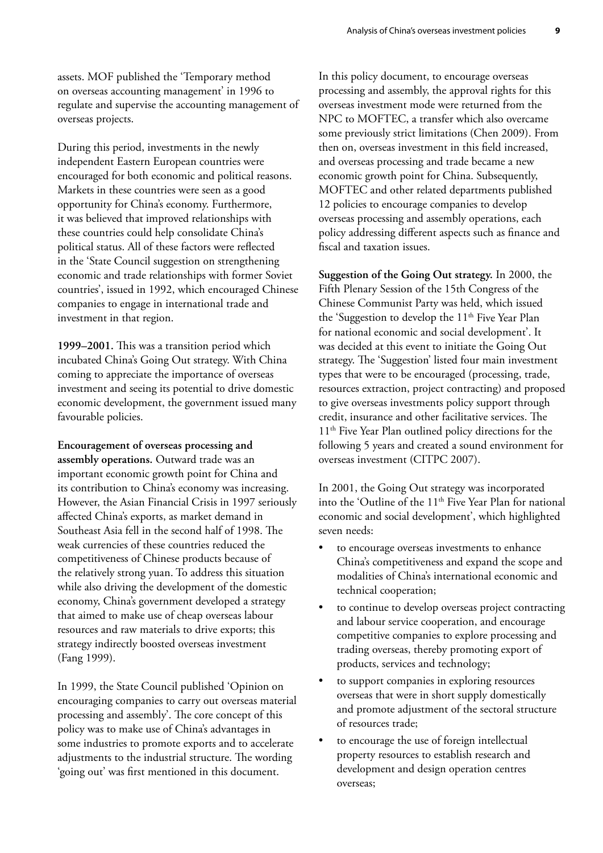assets. MOF published the 'Temporary method on overseas accounting management' in 1996 to regulate and supervise the accounting management of overseas projects.

During this period, investments in the newly independent Eastern European countries were encouraged for both economic and political reasons. Markets in these countries were seen as a good opportunity for China's economy. Furthermore, it was believed that improved relationships with these countries could help consolidate China's political status. All of these factors were reflected in the 'State Council suggestion on strengthening economic and trade relationships with former Soviet countries', issued in 1992, which encouraged Chinese companies to engage in international trade and investment in that region.

**1999–2001.** This was a transition period which incubated China's Going Out strategy. With China coming to appreciate the importance of overseas investment and seeing its potential to drive domestic economic development, the government issued many favourable policies.

**Encouragement of overseas processing and assembly operations.** Outward trade was an important economic growth point for China and its contribution to China's economy was increasing. However, the Asian Financial Crisis in 1997 seriously affected China's exports, as market demand in Southeast Asia fell in the second half of 1998. The weak currencies of these countries reduced the competitiveness of Chinese products because of the relatively strong yuan. To address this situation while also driving the development of the domestic economy, China's government developed a strategy that aimed to make use of cheap overseas labour resources and raw materials to drive exports; this strategy indirectly boosted overseas investment (Fang 1999).

In 1999, the State Council published 'Opinion on encouraging companies to carry out overseas material processing and assembly'. The core concept of this policy was to make use of China's advantages in some industries to promote exports and to accelerate adjustments to the industrial structure. The wording 'going out' was first mentioned in this document.

In this policy document, to encourage overseas processing and assembly, the approval rights for this overseas investment mode were returned from the NPC to MOFTEC, a transfer which also overcame some previously strict limitations (Chen 2009). From then on, overseas investment in this field increased, and overseas processing and trade became a new economic growth point for China. Subsequently, MOFTEC and other related departments published 12 policies to encourage companies to develop overseas processing and assembly operations, each policy addressing different aspects such as finance and fiscal and taxation issues.

**Suggestion of the Going Out strategy.** In 2000, the Fifth Plenary Session of the 15th Congress of the Chinese Communist Party was held, which issued the 'Suggestion to develop the 11<sup>th</sup> Five Year Plan for national economic and social development'. It was decided at this event to initiate the Going Out strategy. The 'Suggestion' listed four main investment types that were to be encouraged (processing, trade, resources extraction, project contracting) and proposed to give overseas investments policy support through credit, insurance and other facilitative services. The 11th Five Year Plan outlined policy directions for the following 5 years and created a sound environment for overseas investment (CITPC 2007).

In 2001, the Going Out strategy was incorporated into the 'Outline of the 11<sup>th</sup> Five Year Plan for national economic and social development', which highlighted seven needs:

- to encourage overseas investments to enhance China's competitiveness and expand the scope and modalities of China's international economic and technical cooperation;
- to continue to develop overseas project contracting and labour service cooperation, and encourage competitive companies to explore processing and trading overseas, thereby promoting export of products, services and technology;
- to support companies in exploring resources overseas that were in short supply domestically and promote adjustment of the sectoral structure of resources trade;
- to encourage the use of foreign intellectual property resources to establish research and development and design operation centres overseas;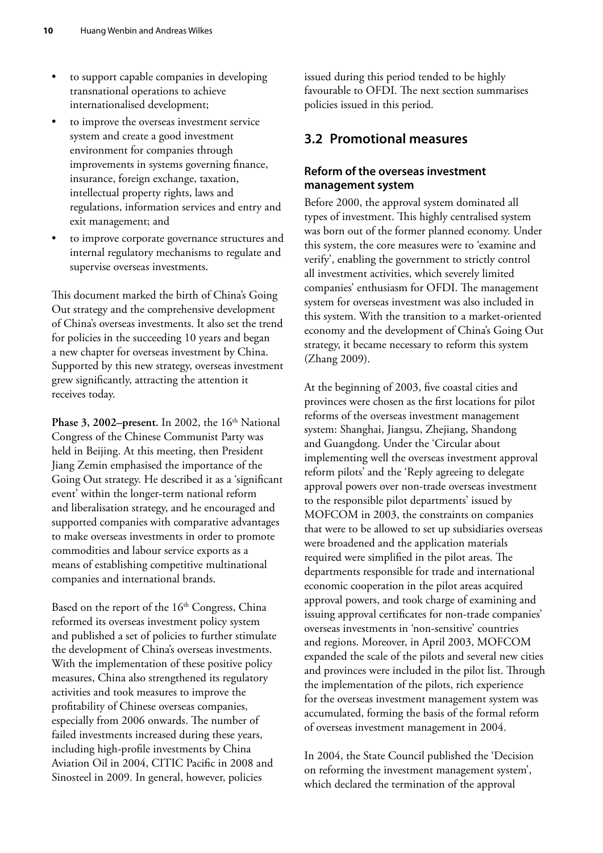- <span id="page-19-0"></span>to support capable companies in developing transnational operations to achieve internationalised development;
- to improve the overseas investment service system and create a good investment environment for companies through improvements in systems governing finance, insurance, foreign exchange, taxation, intellectual property rights, laws and regulations, information services and entry and exit management; and
- to improve corporate governance structures and internal regulatory mechanisms to regulate and supervise overseas investments.

This document marked the birth of China's Going Out strategy and the comprehensive development of China's overseas investments. It also set the trend for policies in the succeeding 10 years and began a new chapter for overseas investment by China. Supported by this new strategy, overseas investment grew significantly, attracting the attention it receives today.

**Phase 3, 2002–present.** In 2002, the  $16<sup>th</sup>$  National Congress of the Chinese Communist Party was held in Beijing. At this meeting, then President Jiang Zemin emphasised the importance of the Going Out strategy. He described it as a 'significant event' within the longer-term national reform and liberalisation strategy, and he encouraged and supported companies with comparative advantages to make overseas investments in order to promote commodities and labour service exports as a means of establishing competitive multinational companies and international brands.

Based on the report of the  $16<sup>th</sup>$  Congress, China reformed its overseas investment policy system and published a set of policies to further stimulate the development of China's overseas investments. With the implementation of these positive policy measures, China also strengthened its regulatory activities and took measures to improve the profitability of Chinese overseas companies, especially from 2006 onwards. The number of failed investments increased during these years, including high-profile investments by China Aviation Oil in 2004, CITIC Pacific in 2008 and Sinosteel in 2009. In general, however, policies

issued during this period tended to be highly favourable to OFDI. The next section summarises policies issued in this period.

#### **3.2 Promotional measures**

#### **Reform of the overseas investment management system**

Before 2000, the approval system dominated all types of investment. This highly centralised system was born out of the former planned economy. Under this system, the core measures were to 'examine and verify', enabling the government to strictly control all investment activities, which severely limited companies' enthusiasm for OFDI. The management system for overseas investment was also included in this system. With the transition to a market-oriented economy and the development of China's Going Out strategy, it became necessary to reform this system (Zhang 2009).

At the beginning of 2003, five coastal cities and provinces were chosen as the first locations for pilot reforms of the overseas investment management system: Shanghai, Jiangsu, Zhejiang, Shandong and Guangdong. Under the 'Circular about implementing well the overseas investment approval reform pilots' and the 'Reply agreeing to delegate approval powers over non-trade overseas investment to the responsible pilot departments' issued by MOFCOM in 2003, the constraints on companies that were to be allowed to set up subsidiaries overseas were broadened and the application materials required were simplified in the pilot areas. The departments responsible for trade and international economic cooperation in the pilot areas acquired approval powers, and took charge of examining and issuing approval certificates for non-trade companies' overseas investments in 'non-sensitive' countries and regions. Moreover, in April 2003, MOFCOM expanded the scale of the pilots and several new cities and provinces were included in the pilot list. Through the implementation of the pilots, rich experience for the overseas investment management system was accumulated, forming the basis of the formal reform of overseas investment management in 2004.

In 2004, the State Council published the 'Decision on reforming the investment management system', which declared the termination of the approval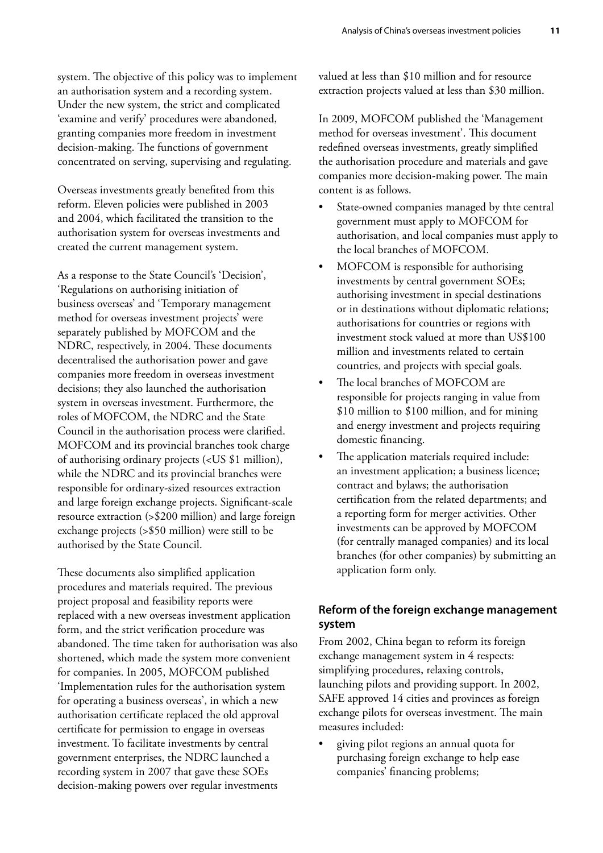system. The objective of this policy was to implement an authorisation system and a recording system. Under the new system, the strict and complicated 'examine and verify' procedures were abandoned, granting companies more freedom in investment decision-making. The functions of government concentrated on serving, supervising and regulating.

Overseas investments greatly benefited from this reform. Eleven policies were published in 2003 and 2004, which facilitated the transition to the authorisation system for overseas investments and created the current management system.

As a response to the State Council's 'Decision', 'Regulations on authorising initiation of business overseas' and 'Temporary management method for overseas investment projects' were separately published by MOFCOM and the NDRC, respectively, in 2004. These documents decentralised the authorisation power and gave companies more freedom in overseas investment decisions; they also launched the authorisation system in overseas investment. Furthermore, the roles of MOFCOM, the NDRC and the State Council in the authorisation process were clarified. MOFCOM and its provincial branches took charge of authorising ordinary projects (<US \$1 million), while the NDRC and its provincial branches were responsible for ordinary-sized resources extraction and large foreign exchange projects. Significant-scale resource extraction (>\$200 million) and large foreign exchange projects (>\$50 million) were still to be authorised by the State Council.

These documents also simplified application procedures and materials required. The previous project proposal and feasibility reports were replaced with a new overseas investment application form, and the strict verification procedure was abandoned. The time taken for authorisation was also shortened, which made the system more convenient for companies. In 2005, MOFCOM published 'Implementation rules for the authorisation system for operating a business overseas', in which a new authorisation certificate replaced the old approval certificate for permission to engage in overseas investment. To facilitate investments by central government enterprises, the NDRC launched a recording system in 2007 that gave these SOEs decision-making powers over regular investments

valued at less than \$10 million and for resource extraction projects valued at less than \$30 million.

In 2009, MOFCOM published the 'Management method for overseas investment'. This document redefined overseas investments, greatly simplified the authorisation procedure and materials and gave companies more decision-making power. The main content is as follows.

- State-owned companies managed by thte central government must apply to MOFCOM for authorisation, and local companies must apply to the local branches of MOFCOM.
- MOFCOM is responsible for authorising investments by central government SOEs; authorising investment in special destinations or in destinations without diplomatic relations; authorisations for countries or regions with investment stock valued at more than US\$100 million and investments related to certain countries, and projects with special goals.
- The local branches of MOFCOM are responsible for projects ranging in value from \$10 million to \$100 million, and for mining and energy investment and projects requiring domestic financing.
- The application materials required include: an investment application; a business licence; contract and bylaws; the authorisation certification from the related departments; and a reporting form for merger activities. Other investments can be approved by MOFCOM (for centrally managed companies) and its local branches (for other companies) by submitting an application form only.

#### **Reform of the foreign exchange management system**

From 2002, China began to reform its foreign exchange management system in 4 respects: simplifying procedures, relaxing controls, launching pilots and providing support. In 2002, SAFE approved 14 cities and provinces as foreign exchange pilots for overseas investment. The main measures included:

• giving pilot regions an annual quota for purchasing foreign exchange to help ease companies' financing problems;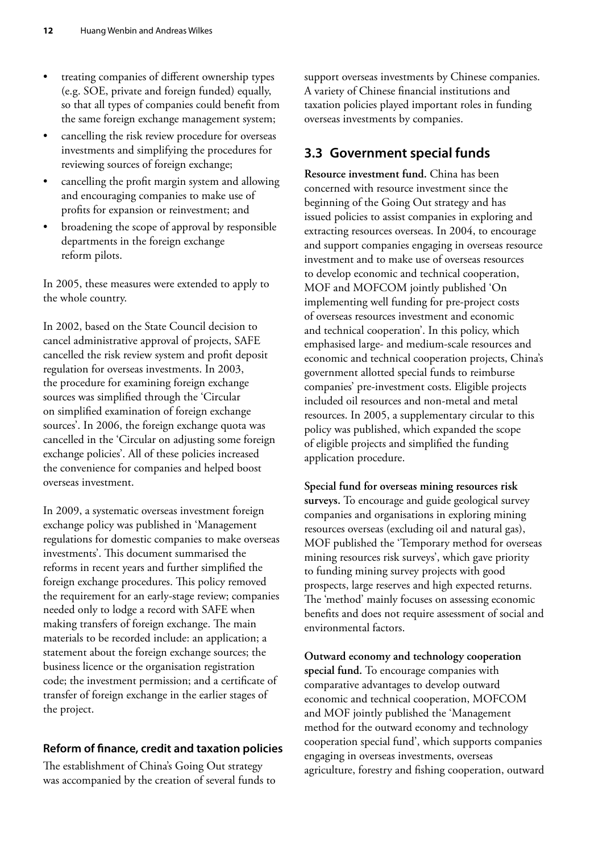- <span id="page-21-0"></span>• treating companies of different ownership types (e.g. SOE, private and foreign funded) equally, so that all types of companies could benefit from the same foreign exchange management system;
- cancelling the risk review procedure for overseas investments and simplifying the procedures for reviewing sources of foreign exchange;
- cancelling the profit margin system and allowing and encouraging companies to make use of profits for expansion or reinvestment; and
- broadening the scope of approval by responsible departments in the foreign exchange reform pilots.

In 2005, these measures were extended to apply to the whole country.

In 2002, based on the State Council decision to cancel administrative approval of projects, SAFE cancelled the risk review system and profit deposit regulation for overseas investments. In 2003, the procedure for examining foreign exchange sources was simplified through the 'Circular on simplified examination of foreign exchange sources'. In 2006, the foreign exchange quota was cancelled in the 'Circular on adjusting some foreign exchange policies'. All of these policies increased the convenience for companies and helped boost overseas investment.

In 2009, a systematic overseas investment foreign exchange policy was published in 'Management regulations for domestic companies to make overseas investments'. This document summarised the reforms in recent years and further simplified the foreign exchange procedures. This policy removed the requirement for an early-stage review; companies needed only to lodge a record with SAFE when making transfers of foreign exchange. The main materials to be recorded include: an application; a statement about the foreign exchange sources; the business licence or the organisation registration code; the investment permission; and a certificate of transfer of foreign exchange in the earlier stages of the project.

#### **Reform of finance, credit and taxation policies**

The establishment of China's Going Out strategy was accompanied by the creation of several funds to support overseas investments by Chinese companies. A variety of Chinese financial institutions and taxation policies played important roles in funding overseas investments by companies.

## **3.3 Government special funds**

**Resource investment fund.** China has been concerned with resource investment since the beginning of the Going Out strategy and has issued policies to assist companies in exploring and extracting resources overseas. In 2004, to encourage and support companies engaging in overseas resource investment and to make use of overseas resources to develop economic and technical cooperation, MOF and MOFCOM jointly published 'On implementing well funding for pre-project costs of overseas resources investment and economic and technical cooperation'. In this policy, which emphasised large- and medium-scale resources and economic and technical cooperation projects, China's government allotted special funds to reimburse companies' pre-investment costs. Eligible projects included oil resources and non-metal and metal resources. In 2005, a supplementary circular to this policy was published, which expanded the scope of eligible projects and simplified the funding application procedure.

**Special fund for overseas mining resources risk surveys.** To encourage and guide geological survey companies and organisations in exploring mining resources overseas (excluding oil and natural gas), MOF published the 'Temporary method for overseas mining resources risk surveys', which gave priority to funding mining survey projects with good prospects, large reserves and high expected returns. The 'method' mainly focuses on assessing economic benefits and does not require assessment of social and environmental factors.

**Outward economy and technology cooperation special fund.** To encourage companies with comparative advantages to develop outward economic and technical cooperation, MOFCOM and MOF jointly published the 'Management method for the outward economy and technology cooperation special fund', which supports companies engaging in overseas investments, overseas agriculture, forestry and fishing cooperation, outward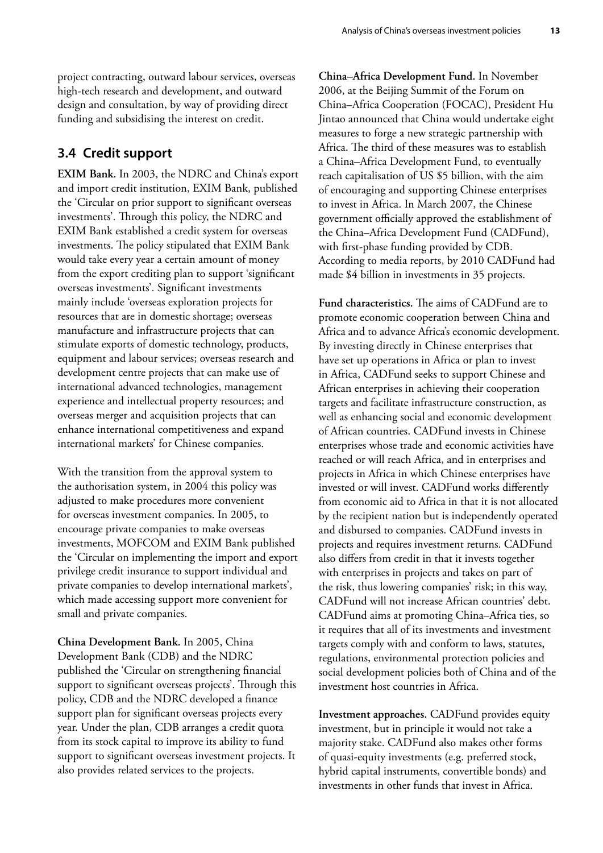<span id="page-22-0"></span>project contracting, outward labour services, overseas high-tech research and development, and outward design and consultation, by way of providing direct funding and subsidising the interest on credit.

#### **3.4 Credit support**

**EXIM Bank.** In 2003, the NDRC and China's export and import credit institution, EXIM Bank, published the 'Circular on prior support to significant overseas investments'. Through this policy, the NDRC and EXIM Bank established a credit system for overseas investments. The policy stipulated that EXIM Bank would take every year a certain amount of money from the export crediting plan to support 'significant overseas investments'. Significant investments mainly include 'overseas exploration projects for resources that are in domestic shortage; overseas manufacture and infrastructure projects that can stimulate exports of domestic technology, products, equipment and labour services; overseas research and development centre projects that can make use of international advanced technologies, management experience and intellectual property resources; and overseas merger and acquisition projects that can enhance international competitiveness and expand international markets' for Chinese companies.

With the transition from the approval system to the authorisation system, in 2004 this policy was adjusted to make procedures more convenient for overseas investment companies. In 2005, to encourage private companies to make overseas investments, MOFCOM and EXIM Bank published the 'Circular on implementing the import and export privilege credit insurance to support individual and private companies to develop international markets', which made accessing support more convenient for small and private companies.

**China Development Bank.** In 2005, China Development Bank (CDB) and the NDRC published the 'Circular on strengthening financial support to significant overseas projects'. Through this policy, CDB and the NDRC developed a finance support plan for significant overseas projects every year. Under the plan, CDB arranges a credit quota from its stock capital to improve its ability to fund support to significant overseas investment projects. It also provides related services to the projects.

**China–Africa Development Fund.** In November 2006, at the Beijing Summit of the Forum on China–Africa Cooperation (FOCAC), President Hu Jintao announced that China would undertake eight measures to forge a new strategic partnership with Africa. The third of these measures was to establish a China–Africa Development Fund, to eventually reach capitalisation of US \$5 billion, with the aim of encouraging and supporting Chinese enterprises to invest in Africa. In March 2007, the Chinese government officially approved the establishment of the China–Africa Development Fund (CADFund), with first-phase funding provided by CDB. According to media reports, by 2010 CADFund had made \$4 billion in investments in 35 projects.

**Fund characteristics.** The aims of CADFund are to promote economic cooperation between China and Africa and to advance Africa's economic development. By investing directly in Chinese enterprises that have set up operations in Africa or plan to invest in Africa, CADFund seeks to support Chinese and African enterprises in achieving their cooperation targets and facilitate infrastructure construction, as well as enhancing social and economic development of African countries. CADFund invests in Chinese enterprises whose trade and economic activities have reached or will reach Africa, and in enterprises and projects in Africa in which Chinese enterprises have invested or will invest. CADFund works differently from economic aid to Africa in that it is not allocated by the recipient nation but is independently operated and disbursed to companies. CADFund invests in projects and requires investment returns. CADFund also differs from credit in that it invests together with enterprises in projects and takes on part of the risk, thus lowering companies' risk; in this way, CADFund will not increase African countries' debt. CADFund aims at promoting China–Africa ties, so it requires that all of its investments and investment targets comply with and conform to laws, statutes, regulations, environmental protection policies and social development policies both of China and of the investment host countries in Africa.

**Investment approaches.** CADFund provides equity investment, but in principle it would not take a majority stake. CADFund also makes other forms of quasi-equity investments (e.g. preferred stock, hybrid capital instruments, convertible bonds) and investments in other funds that invest in Africa.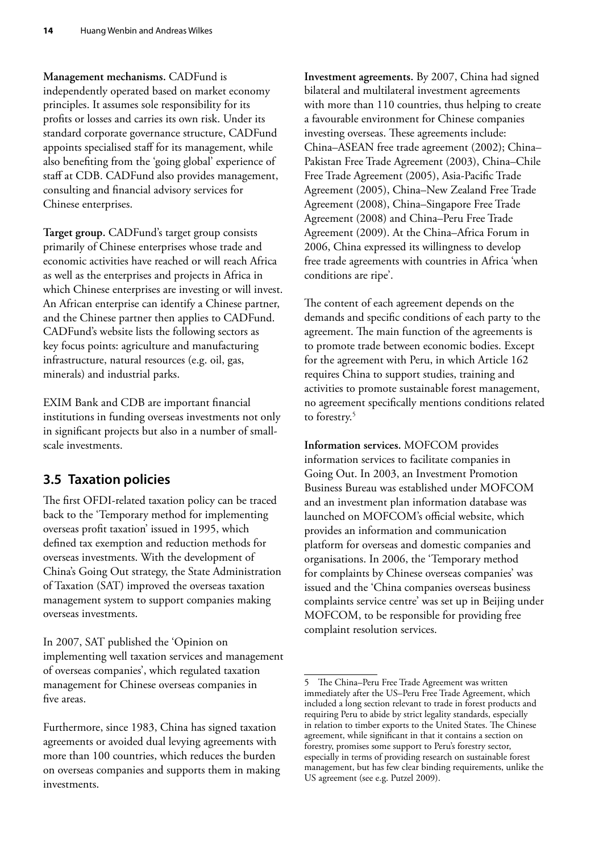<span id="page-23-0"></span>**Management mechanisms.** CADFund is independently operated based on market economy principles. It assumes sole responsibility for its profits or losses and carries its own risk. Under its standard corporate governance structure, CADFund appoints specialised staff for its management, while also benefiting from the 'going global' experience of staff at CDB. CADFund also provides management, consulting and financial advisory services for Chinese enterprises.

**Target group.** CADFund's target group consists primarily of Chinese enterprises whose trade and economic activities have reached or will reach Africa as well as the enterprises and projects in Africa in which Chinese enterprises are investing or will invest. An African enterprise can identify a Chinese partner, and the Chinese partner then applies to CADFund. CADFund's website lists the following sectors as key focus points: agriculture and manufacturing infrastructure, natural resources (e.g. oil, gas, minerals) and industrial parks.

EXIM Bank and CDB are important financial institutions in funding overseas investments not only in significant projects but also in a number of smallscale investments.

## **3.5 Taxation policies**

The first OFDI-related taxation policy can be traced back to the 'Temporary method for implementing overseas profit taxation' issued in 1995, which defined tax exemption and reduction methods for overseas investments. With the development of China's Going Out strategy, the State Administration of Taxation (SAT) improved the overseas taxation management system to support companies making overseas investments.

In 2007, SAT published the 'Opinion on implementing well taxation services and management of overseas companies', which regulated taxation management for Chinese overseas companies in five areas.

Furthermore, since 1983, China has signed taxation agreements or avoided dual levying agreements with more than 100 countries, which reduces the burden on overseas companies and supports them in making investments.

**Investment agreements.** By 2007, China had signed bilateral and multilateral investment agreements with more than 110 countries, thus helping to create a favourable environment for Chinese companies investing overseas. These agreements include: China–ASEAN free trade agreement (2002); China– Pakistan Free Trade Agreement (2003), China–Chile Free Trade Agreement (2005), Asia-Pacific Trade Agreement (2005), China–New Zealand Free Trade Agreement (2008), China–Singapore Free Trade Agreement (2008) and China–Peru Free Trade Agreement (2009). At the China–Africa Forum in 2006, China expressed its willingness to develop free trade agreements with countries in Africa 'when conditions are ripe'.

The content of each agreement depends on the demands and specific conditions of each party to the agreement. The main function of the agreements is to promote trade between economic bodies. Except for the agreement with Peru, in which Article 162 requires China to support studies, training and activities to promote sustainable forest management, no agreement specifically mentions conditions related to forestry.<sup>5</sup>

**Information services.** MOFCOM provides information services to facilitate companies in Going Out. In 2003, an Investment Promotion Business Bureau was established under MOFCOM and an investment plan information database was launched on MOFCOM's official website, which provides an information and communication platform for overseas and domestic companies and organisations. In 2006, the 'Temporary method for complaints by Chinese overseas companies' was issued and the 'China companies overseas business complaints service centre' was set up in Beijing under MOFCOM, to be responsible for providing free complaint resolution services.

<sup>5</sup> The China–Peru Free Trade Agreement was written immediately after the US–Peru Free Trade Agreement, which included a long section relevant to trade in forest products and requiring Peru to abide by strict legality standards, especially in relation to timber exports to the United States. The Chinese agreement, while significant in that it contains a section on forestry, promises some support to Peru's forestry sector, especially in terms of providing research on sustainable forest management, but has few clear binding requirements, unlike the US agreement (see e.g. Putzel 2009).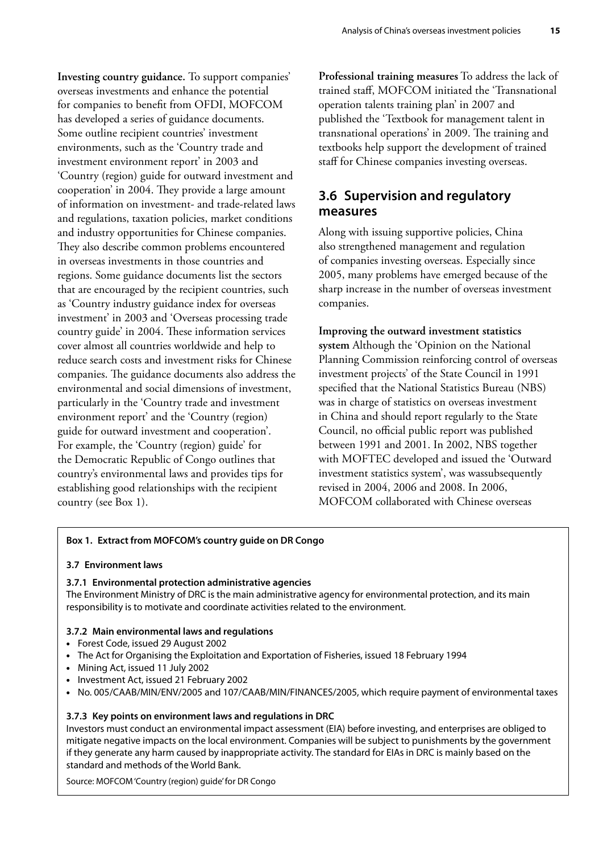<span id="page-24-0"></span>**Investing country guidance.** To support companies' overseas investments and enhance the potential for companies to benefit from OFDI, MOFCOM has developed a series of guidance documents. Some outline recipient countries' investment environments, such as the 'Country trade and investment environment report' in 2003 and 'Country (region) guide for outward investment and cooperation' in 2004. They provide a large amount of information on investment- and trade-related laws and regulations, taxation policies, market conditions and industry opportunities for Chinese companies. They also describe common problems encountered in overseas investments in those countries and regions. Some guidance documents list the sectors that are encouraged by the recipient countries, such as 'Country industry guidance index for overseas investment' in 2003 and 'Overseas processing trade country guide' in 2004. These information services cover almost all countries worldwide and help to reduce search costs and investment risks for Chinese companies. The guidance documents also address the environmental and social dimensions of investment, particularly in the 'Country trade and investment environment report' and the 'Country (region) guide for outward investment and cooperation'. For example, the 'Country (region) guide' for the Democratic Republic of Congo outlines that country's environmental laws and provides tips for establishing good relationships with the recipient country (see Box 1).

**Professional training measures** To address the lack of trained staff, MOFCOM initiated the 'Transnational operation talents training plan' in 2007 and published the 'Textbook for management talent in transnational operations' in 2009. The training and textbooks help support the development of trained staff for Chinese companies investing overseas.

## **3.6 Supervision and regulatory measures**

Along with issuing supportive policies, China also strengthened management and regulation of companies investing overseas. Especially since 2005, many problems have emerged because of the sharp increase in the number of overseas investment companies.

#### **Improving the outward investment statistics**

**system** Although the 'Opinion on the National Planning Commission reinforcing control of overseas investment projects' of the State Council in 1991 specified that the National Statistics Bureau (NBS) was in charge of statistics on overseas investment in China and should report regularly to the State Council, no official public report was published between 1991 and 2001. In 2002, NBS together with MOFTEC developed and issued the 'Outward investment statistics system', was wassubsequently revised in 2004, 2006 and 2008. In 2006, MOFCOM collaborated with Chinese overseas

#### **Box 1. Extract from MOFCOM's country guide on DR Congo**

#### **3.7 Environment laws**

#### **3.7.1 Environmental protection administrative agencies**

The Environment Ministry of DRC is the main administrative agency for environmental protection, and its main responsibility is to motivate and coordinate activities related to the environment.

#### **3.7.2 Main environmental laws and regulations**

- Forest Code, issued 29 August 2002
- The Act for Organising the Exploitation and Exportation of Fisheries, issued 18 February 1994
- Mining Act, issued 11 July 2002
- Investment Act, issued 21 February 2002
- No. 005/CAAB/MIN/ENV/2005 and 107/CAAB/MIN/FINANCES/2005, which require payment of environmental taxes

#### **3.7.3 Key points on environment laws and regulations in DRC**

Investors must conduct an environmental impact assessment (EIA) before investing, and enterprises are obliged to mitigate negative impacts on the local environment. Companies will be subject to punishments by the government if they generate any harm caused by inappropriate activity. The standard for EIAs in DRC is mainly based on the standard and methods of the World Bank.

Source: MOFCOM 'Country (region) guide' for DR Congo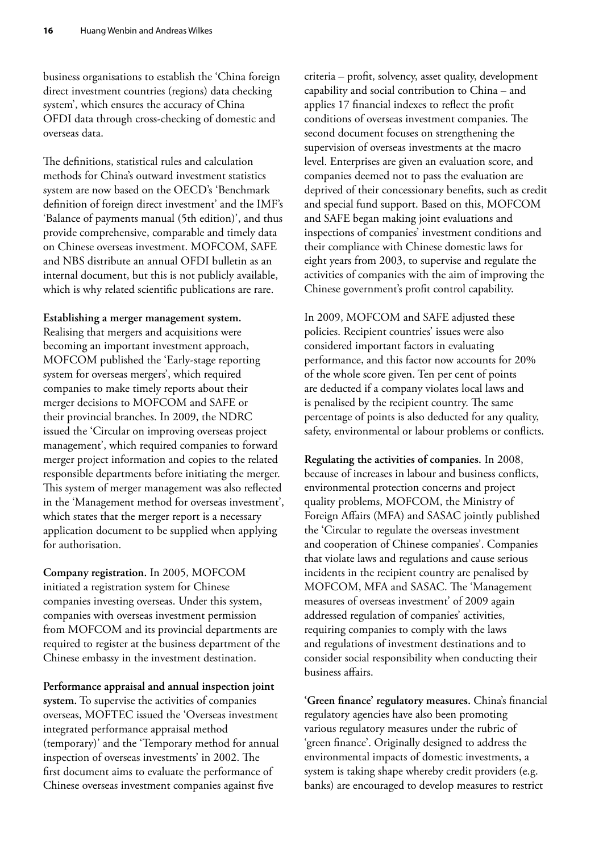business organisations to establish the 'China foreign direct investment countries (regions) data checking system', which ensures the accuracy of China OFDI data through cross-checking of domestic and overseas data.

The definitions, statistical rules and calculation methods for China's outward investment statistics system are now based on the OECD's 'Benchmark definition of foreign direct investment' and the IMF's 'Balance of payments manual (5th edition)', and thus provide comprehensive, comparable and timely data on Chinese overseas investment. MOFCOM, SAFE and NBS distribute an annual OFDI bulletin as an internal document, but this is not publicly available, which is why related scientific publications are rare.

#### **Establishing a merger management system.**

Realising that mergers and acquisitions were becoming an important investment approach, MOFCOM published the 'Early-stage reporting system for overseas mergers', which required companies to make timely reports about their merger decisions to MOFCOM and SAFE or their provincial branches. In 2009, the NDRC issued the 'Circular on improving overseas project management', which required companies to forward merger project information and copies to the related responsible departments before initiating the merger. This system of merger management was also reflected in the 'Management method for overseas investment', which states that the merger report is a necessary application document to be supplied when applying for authorisation.

#### **Company registration.** In 2005, MOFCOM initiated a registration system for Chinese companies investing overseas. Under this system, companies with overseas investment permission from MOFCOM and its provincial departments are required to register at the business department of the Chinese embassy in the investment destination.

#### **Performance appraisal and annual inspection joint**

**system.** To supervise the activities of companies overseas, MOFTEC issued the 'Overseas investment integrated performance appraisal method (temporary)' and the 'Temporary method for annual inspection of overseas investments' in 2002. The first document aims to evaluate the performance of Chinese overseas investment companies against five

criteria – profit, solvency, asset quality, development capability and social contribution to China – and applies 17 financial indexes to reflect the profit conditions of overseas investment companies. The second document focuses on strengthening the supervision of overseas investments at the macro level. Enterprises are given an evaluation score, and companies deemed not to pass the evaluation are deprived of their concessionary benefits, such as credit and special fund support. Based on this, MOFCOM and SAFE began making joint evaluations and inspections of companies' investment conditions and their compliance with Chinese domestic laws for eight years from 2003, to supervise and regulate the activities of companies with the aim of improving the Chinese government's profit control capability.

In 2009, MOFCOM and SAFE adjusted these policies. Recipient countries' issues were also considered important factors in evaluating performance, and this factor now accounts for 20% of the whole score given. Ten per cent of points are deducted if a company violates local laws and is penalised by the recipient country. The same percentage of points is also deducted for any quality, safety, environmental or labour problems or conflicts.

**Regulating the activities of companies.** In 2008, because of increases in labour and business conflicts, environmental protection concerns and project quality problems, MOFCOM, the Ministry of Foreign Affairs (MFA) and SASAC jointly published the 'Circular to regulate the overseas investment and cooperation of Chinese companies'. Companies that violate laws and regulations and cause serious incidents in the recipient country are penalised by MOFCOM, MFA and SASAC. The 'Management measures of overseas investment' of 2009 again addressed regulation of companies' activities, requiring companies to comply with the laws and regulations of investment destinations and to consider social responsibility when conducting their business affairs.

**'Green finance' regulatory measures.** China's financial regulatory agencies have also been promoting various regulatory measures under the rubric of 'green finance'. Originally designed to address the environmental impacts of domestic investments, a system is taking shape whereby credit providers (e.g. banks) are encouraged to develop measures to restrict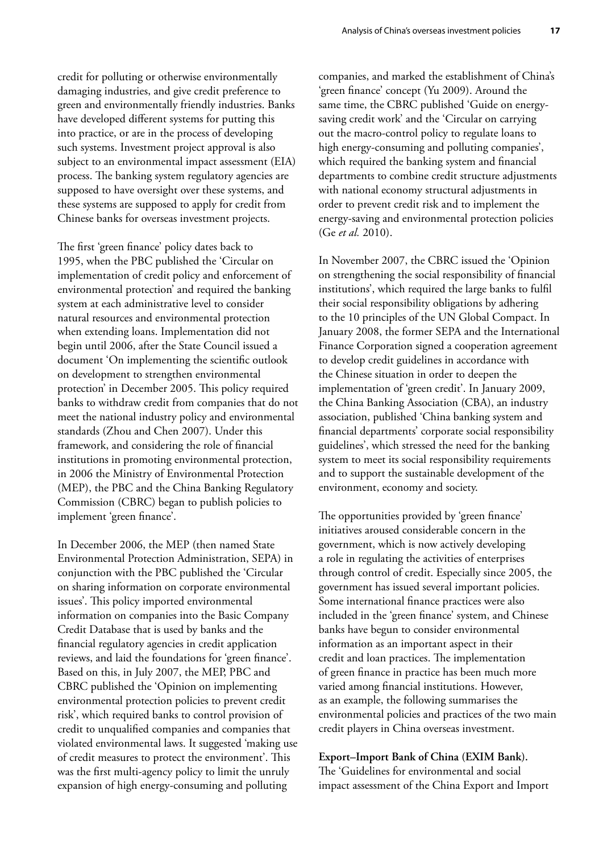credit for polluting or otherwise environmentally damaging industries, and give credit preference to green and environmentally friendly industries. Banks have developed different systems for putting this into practice, or are in the process of developing such systems. Investment project approval is also subject to an environmental impact assessment (EIA) process. The banking system regulatory agencies are supposed to have oversight over these systems, and these systems are supposed to apply for credit from Chinese banks for overseas investment projects.

The first 'green finance' policy dates back to 1995, when the PBC published the 'Circular on implementation of credit policy and enforcement of environmental protection' and required the banking system at each administrative level to consider natural resources and environmental protection when extending loans. Implementation did not begin until 2006, after the State Council issued a document 'On implementing the scientific outlook on development to strengthen environmental protection' in December 2005. This policy required banks to withdraw credit from companies that do not meet the national industry policy and environmental standards (Zhou and Chen 2007). Under this framework, and considering the role of financial institutions in promoting environmental protection, in 2006 the Ministry of Environmental Protection (MEP), the PBC and the China Banking Regulatory Commission (CBRC) began to publish policies to implement 'green finance'.

In December 2006, the MEP (then named State Environmental Protection Administration, SEPA) in conjunction with the PBC published the 'Circular on sharing information on corporate environmental issues'. This policy imported environmental information on companies into the Basic Company Credit Database that is used by banks and the financial regulatory agencies in credit application reviews, and laid the foundations for 'green finance'. Based on this, in July 2007, the MEP, PBC and CBRC published the 'Opinion on implementing environmental protection policies to prevent credit risk', which required banks to control provision of credit to unqualified companies and companies that violated environmental laws. It suggested 'making use of credit measures to protect the environment'. This was the first multi-agency policy to limit the unruly expansion of high energy-consuming and polluting

companies, and marked the establishment of China's 'green finance' concept (Yu 2009). Around the same time, the CBRC published 'Guide on energysaving credit work' and the 'Circular on carrying out the macro-control policy to regulate loans to high energy-consuming and polluting companies', which required the banking system and financial departments to combine credit structure adjustments with national economy structural adjustments in order to prevent credit risk and to implement the energy-saving and environmental protection policies (Ge *et al.* 2010).

In November 2007, the CBRC issued the 'Opinion on strengthening the social responsibility of financial institutions', which required the large banks to fulfil their social responsibility obligations by adhering to the 10 principles of the UN Global Compact. In January 2008, the former SEPA and the International Finance Corporation signed a cooperation agreement to develop credit guidelines in accordance with the Chinese situation in order to deepen the implementation of 'green credit'. In January 2009, the China Banking Association (CBA), an industry association, published 'China banking system and financial departments' corporate social responsibility guidelines', which stressed the need for the banking system to meet its social responsibility requirements and to support the sustainable development of the environment, economy and society.

The opportunities provided by 'green finance' initiatives aroused considerable concern in the government, which is now actively developing a role in regulating the activities of enterprises through control of credit. Especially since 2005, the government has issued several important policies. Some international finance practices were also included in the 'green finance' system, and Chinese banks have begun to consider environmental information as an important aspect in their credit and loan practices. The implementation of green finance in practice has been much more varied among financial institutions. However, as an example, the following summarises the environmental policies and practices of the two main credit players in China overseas investment.

#### **Export–Import Bank of China (EXIM Bank).**

The 'Guidelines for environmental and social impact assessment of the China Export and Import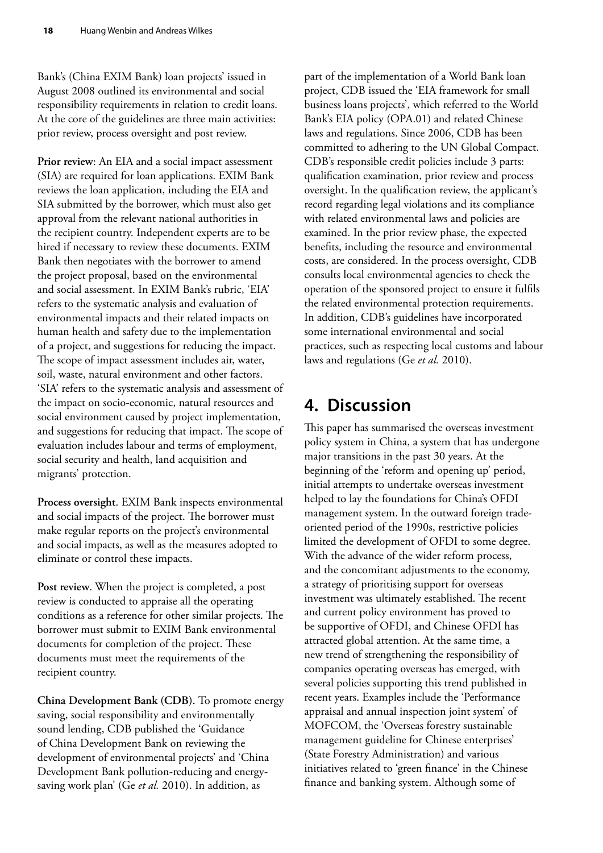<span id="page-27-0"></span>Bank's (China EXIM Bank) loan projects' issued in August 2008 outlined its environmental and social responsibility requirements in relation to credit loans. At the core of the guidelines are three main activities: prior review, process oversight and post review.

**Prior review**: An EIA and a social impact assessment (SIA) are required for loan applications. EXIM Bank reviews the loan application, including the EIA and SIA submitted by the borrower, which must also get approval from the relevant national authorities in the recipient country. Independent experts are to be hired if necessary to review these documents. EXIM Bank then negotiates with the borrower to amend the project proposal, based on the environmental and social assessment. In EXIM Bank's rubric, 'EIA' refers to the systematic analysis and evaluation of environmental impacts and their related impacts on human health and safety due to the implementation of a project, and suggestions for reducing the impact. The scope of impact assessment includes air, water, soil, waste, natural environment and other factors. 'SIA' refers to the systematic analysis and assessment of the impact on socio-economic, natural resources and social environment caused by project implementation, and suggestions for reducing that impact. The scope of evaluation includes labour and terms of employment, social security and health, land acquisition and migrants' protection.

**Process oversight**. EXIM Bank inspects environmental and social impacts of the project. The borrower must make regular reports on the project's environmental and social impacts, as well as the measures adopted to eliminate or control these impacts.

**Post review**. When the project is completed, a post review is conducted to appraise all the operating conditions as a reference for other similar projects. The borrower must submit to EXIM Bank environmental documents for completion of the project. These documents must meet the requirements of the recipient country.

**China Development Bank (CDB).** To promote energy saving, social responsibility and environmentally sound lending, CDB published the 'Guidance of China Development Bank on reviewing the development of environmental projects' and 'China Development Bank pollution-reducing and energysaving work plan' (Ge *et al.* 2010). In addition, as

part of the implementation of a World Bank loan project, CDB issued the 'EIA framework for small business loans projects', which referred to the World Bank's EIA policy (OPA.01) and related Chinese laws and regulations. Since 2006, CDB has been committed to adhering to the UN Global Compact. CDB's responsible credit policies include 3 parts: qualification examination, prior review and process oversight. In the qualification review, the applicant's record regarding legal violations and its compliance with related environmental laws and policies are examined. In the prior review phase, the expected benefits, including the resource and environmental costs, are considered. In the process oversight, CDB consults local environmental agencies to check the operation of the sponsored project to ensure it fulfils the related environmental protection requirements. In addition, CDB's guidelines have incorporated some international environmental and social practices, such as respecting local customs and labour laws and regulations (Ge *et al.* 2010).

# **4. Discussion**

This paper has summarised the overseas investment policy system in China, a system that has undergone major transitions in the past 30 years. At the beginning of the 'reform and opening up' period, initial attempts to undertake overseas investment helped to lay the foundations for China's OFDI management system. In the outward foreign tradeoriented period of the 1990s, restrictive policies limited the development of OFDI to some degree. With the advance of the wider reform process, and the concomitant adjustments to the economy, a strategy of prioritising support for overseas investment was ultimately established. The recent and current policy environment has proved to be supportive of OFDI, and Chinese OFDI has attracted global attention. At the same time, a new trend of strengthening the responsibility of companies operating overseas has emerged, with several policies supporting this trend published in recent years. Examples include the 'Performance appraisal and annual inspection joint system' of MOFCOM, the 'Overseas forestry sustainable management guideline for Chinese enterprises' (State Forestry Administration) and various initiatives related to 'green finance' in the Chinese finance and banking system. Although some of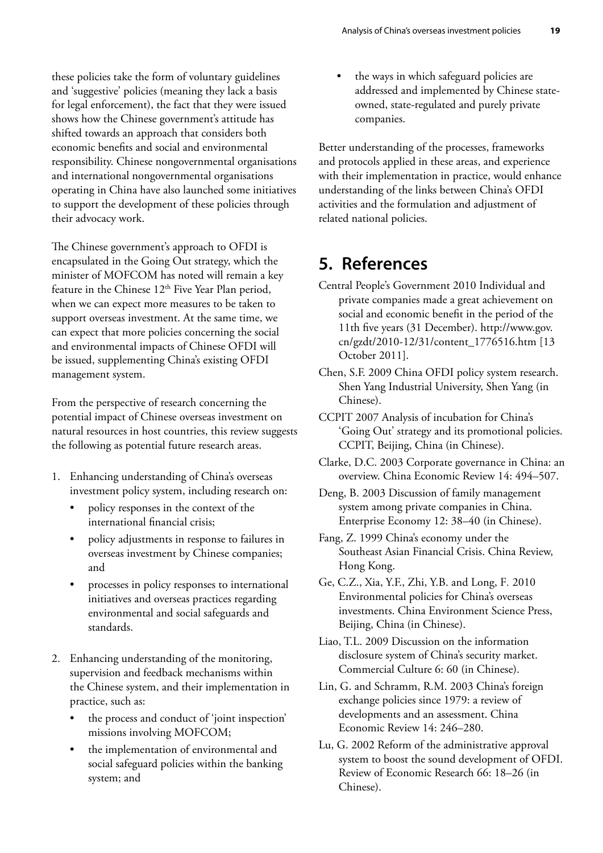<span id="page-28-0"></span>these policies take the form of voluntary guidelines and 'suggestive' policies (meaning they lack a basis for legal enforcement), the fact that they were issued shows how the Chinese government's attitude has shifted towards an approach that considers both economic benefits and social and environmental responsibility. Chinese nongovernmental organisations and international nongovernmental organisations operating in China have also launched some initiatives to support the development of these policies through their advocacy work.

The Chinese government's approach to OFDI is encapsulated in the Going Out strategy, which the minister of MOFCOM has noted will remain a key feature in the Chinese  $12<sup>th</sup>$  Five Year Plan period, when we can expect more measures to be taken to support overseas investment. At the same time, we can expect that more policies concerning the social and environmental impacts of Chinese OFDI will be issued, supplementing China's existing OFDI management system.

From the perspective of research concerning the potential impact of Chinese overseas investment on natural resources in host countries, this review suggests the following as potential future research areas.

- 1. Enhancing understanding of China's overseas investment policy system, including research on:
	- policy responses in the context of the international financial crisis;
	- policy adjustments in response to failures in overseas investment by Chinese companies; and
	- processes in policy responses to international initiatives and overseas practices regarding environmental and social safeguards and standards.
- 2. Enhancing understanding of the monitoring, supervision and feedback mechanisms within the Chinese system, and their implementation in practice, such as:
	- the process and conduct of 'joint inspection' missions involving MOFCOM;
	- the implementation of environmental and social safeguard policies within the banking system; and

the ways in which safeguard policies are addressed and implemented by Chinese stateowned, state-regulated and purely private companies.

Better understanding of the processes, frameworks and protocols applied in these areas, and experience with their implementation in practice, would enhance understanding of the links between China's OFDI activities and the formulation and adjustment of related national policies.

# **5. References**

- Central People's Government 2010 Individual and private companies made a great achievement on social and economic benefit in the period of the 11th five years (31 December). http://www.gov. cn/gzdt/2010-12/31/content\_1776516.htm [13 October 2011].
- Chen, S.F. 2009 China OFDI policy system research. Shen Yang Industrial University, Shen Yang (in Chinese).

CCPIT 2007 Analysis of incubation for China's 'Going Out' strategy and its promotional policies. CCPIT, Beijing, China (in Chinese).

Clarke, D.C. 2003 Corporate governance in China: an overview. China Economic Review 14: 494–507.

Deng, B. 2003 Discussion of family management system among private companies in China. Enterprise Economy 12: 38–40 (in Chinese).

- Fang, Z. 1999 China's economy under the Southeast Asian Financial Crisis. China Review, Hong Kong.
- Ge, C.Z., Xia, Y.F., Zhi, Y.B. and Long, F*.* 2010 Environmental policies for China's overseas investments. China Environment Science Press, Beijing, China (in Chinese).
- Liao, T.L. 2009 Discussion on the information disclosure system of China's security market. Commercial Culture 6: 60 (in Chinese).
- Lin, G. and Schramm, R.M. 2003 China's foreign exchange policies since 1979: a review of developments and an assessment. China Economic Review 14: 246–280.
- Lu, G. 2002 Reform of the administrative approval system to boost the sound development of OFDI. Review of Economic Research 66: 18–26 (in Chinese).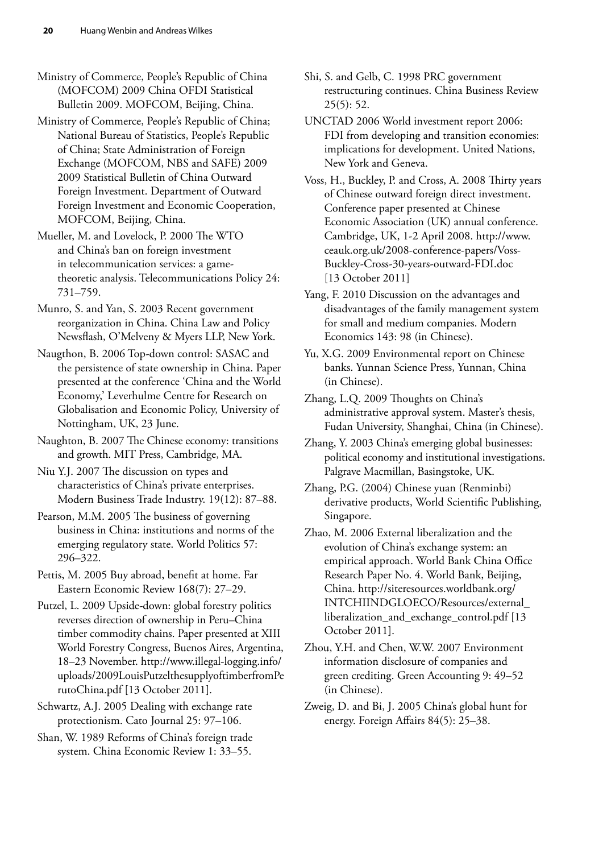Ministry of Commerce, People's Republic of China (MOFCOM) 2009 China OFDI Statistical Bulletin 2009. MOFCOM, Beijing, China.

Ministry of Commerce, People's Republic of China; National Bureau of Statistics, People's Republic of China; State Administration of Foreign Exchange (MOFCOM, NBS and SAFE) 2009 2009 Statistical Bulletin of China Outward Foreign Investment. Department of Outward Foreign Investment and Economic Cooperation, MOFCOM, Beijing, China.

Mueller, M. and Lovelock, P. 2000 The WTO and China's ban on foreign investment in telecommunication services: a gametheoretic analysis. Telecommunications Policy 24: 731–759.

Munro, S. and Yan, S. 2003 Recent government reorganization in China. China Law and Policy Newsflash, O'Melveny & Myers LLP, New York.

Naugthon, B. 2006 Top-down control: SASAC and the persistence of state ownership in China. Paper presented at the conference 'China and the World Economy,' Leverhulme Centre for Research on Globalisation and Economic Policy, University of Nottingham, UK, 23 June.

Naughton, B. 2007 The Chinese economy: transitions and growth. MIT Press, Cambridge, MA.

Niu Y.J. 2007 The discussion on types and characteristics of China's private enterprises. Modern Business Trade Industry. 19(12): 87–88.

Pearson, M.M. 2005 The business of governing business in China: institutions and norms of the emerging regulatory state. World Politics 57: 296–322.

Pettis, M. 2005 Buy abroad, benefit at home. Far Eastern Economic Review 168(7): 27–29.

Putzel, L. 2009 Upside-down: global forestry politics reverses direction of ownership in Peru–China timber commodity chains. Paper presented at XIII World Forestry Congress, Buenos Aires, Argentina, 18–23 November. [http://www.illegal-logging.info/](http://www.illegal-logging.info/uploads/WFC2009LouisPutzelthesupplyoftimberfromPerutoChina.pdf) [uploads/2009LouisPutzelthesupplyoftimberfromPe](http://www.illegal-logging.info/uploads/WFC2009LouisPutzelthesupplyoftimberfromPerutoChina.pdf) [rutoChina.pdf](http://www.illegal-logging.info/uploads/WFC2009LouisPutzelthesupplyoftimberfromPerutoChina.pdf) [13 October 2011].

Schwartz, A.J. 2005 Dealing with exchange rate protectionism. Cato Journal 25: 97–106.

Shan, W. 1989 Reforms of China's foreign trade system. China Economic Review 1: 33–55.

Shi, S. and Gelb, C. 1998 PRC government restructuring continues. China Business Review 25(5): 52.

UNCTAD 2006 World investment report 2006: FDI from developing and transition economies: implications for development. United Nations, New York and Geneva.

Voss, H., Buckley, P. and Cross, A. 2008 Thirty years of Chinese outward foreign direct investment. Conference paper presented at Chinese Economic Association (UK) annual conference. Cambridge, UK, 1-2 April 2008. [http://www.](http://www.ceauk.org.uk/2008-conference-papers/Voss-Buckley-Cross-30-years-outward-FDI.doc) [ceauk.org.uk/2008-conference-papers/Voss-](http://www.ceauk.org.uk/2008-conference-papers/Voss-Buckley-Cross-30-years-outward-FDI.doc)[Buckley-Cross-30-years-outward-FDI.doc](http://www.ceauk.org.uk/2008-conference-papers/Voss-Buckley-Cross-30-years-outward-FDI.doc)  [13 October 2011]

Yang, F. 2010 Discussion on the advantages and disadvantages of the family management system for small and medium companies. Modern Economics 143: 98 (in Chinese).

Yu, X.G. 2009 Environmental report on Chinese banks. Yunnan Science Press, Yunnan, China (in Chinese).

Zhang, L.Q. 2009 Thoughts on China's administrative approval system. Master's thesis, Fudan University, Shanghai, China (in Chinese).

Zhang, Y. 2003 China's emerging global businesses: political economy and institutional investigations. Palgrave Macmillan, Basingstoke, UK.

Zhang, P.G. (2004) Chinese yuan (Renminbi) derivative products, World Scientific Publishing, Singapore.

Zhao, M. 2006 External liberalization and the evolution of China's exchange system: an empirical approach. World Bank China Office Research Paper No. 4. World Bank, Beijing, China. http://siteresources.worldbank.org/ INTCHIINDGLOECO/Resources/external\_ liberalization\_and\_exchange\_control.pdf [13 October 2011].

Zhou, Y.H. and Chen, W.W. 2007 Environment information disclosure of companies and green crediting. Green Accounting 9: 49–52 (in Chinese).

Zweig, D. and Bi, J. 2005 China's global hunt for energy. Foreign Affairs 84(5): 25–38.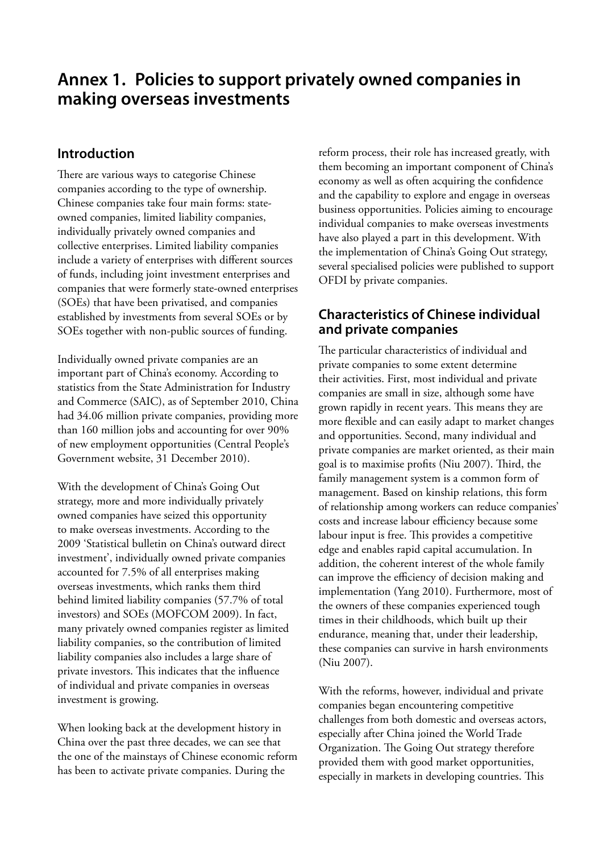# <span id="page-30-0"></span>**Annex 1. Policies to support privately owned companies in making overseas investments**

## **Introduction**

There are various ways to categorise Chinese companies according to the type of ownership. Chinese companies take four main forms: stateowned companies, limited liability companies, individually privately owned companies and collective enterprises. Limited liability companies include a variety of enterprises with different sources of funds, including joint investment enterprises and companies that were formerly state-owned enterprises (SOEs) that have been privatised, and companies established by investments from several SOEs or by SOEs together with non-public sources of funding.

Individually owned private companies are an important part of China's economy. According to statistics from the State Administration for Industry and Commerce (SAIC), as of September 2010, China had 34.06 million private companies, providing more than 160 million jobs and accounting for over 90% of new employment opportunities (Central People's Government website, 31 December 2010).

With the development of China's Going Out strategy, more and more individually privately owned companies have seized this opportunity to make overseas investments. According to the 2009 'Statistical bulletin on China's outward direct investment', individually owned private companies accounted for 7.5% of all enterprises making overseas investments, which ranks them third behind limited liability companies (57.7% of total investors) and SOEs (MOFCOM 2009). In fact, many privately owned companies register as limited liability companies, so the contribution of limited liability companies also includes a large share of private investors. This indicates that the influence of individual and private companies in overseas investment is growing.

When looking back at the development history in China over the past three decades, we can see that the one of the mainstays of Chinese economic reform has been to activate private companies. During the

reform process, their role has increased greatly, with them becoming an important component of China's economy as well as often acquiring the confidence and the capability to explore and engage in overseas business opportunities. Policies aiming to encourage individual companies to make overseas investments have also played a part in this development. With the implementation of China's Going Out strategy, several specialised policies were published to support OFDI by private companies.

## **Characteristics of Chinese individual and private companies**

The particular characteristics of individual and private companies to some extent determine their activities. First, most individual and private companies are small in size, although some have grown rapidly in recent years. This means they are more flexible and can easily adapt to market changes and opportunities. Second, many individual and private companies are market oriented, as their main goal is to maximise profits (Niu 2007). Third, the family management system is a common form of management. Based on kinship relations, this form of relationship among workers can reduce companies' costs and increase labour efficiency because some labour input is free. This provides a competitive edge and enables rapid capital accumulation. In addition, the coherent interest of the whole family can improve the efficiency of decision making and implementation (Yang 2010). Furthermore, most of the owners of these companies experienced tough times in their childhoods, which built up their endurance, meaning that, under their leadership, these companies can survive in harsh environments (Niu 2007).

With the reforms, however, individual and private companies began encountering competitive challenges from both domestic and overseas actors, especially after China joined the World Trade Organization. The Going Out strategy therefore provided them with good market opportunities, especially in markets in developing countries. This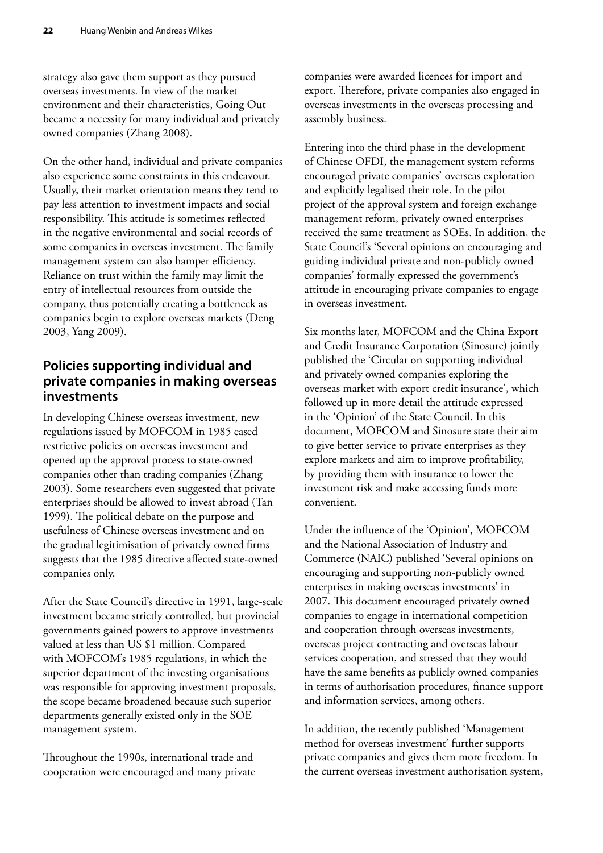strategy also gave them support as they pursued overseas investments. In view of the market environment and their characteristics, Going Out became a necessity for many individual and privately owned companies (Zhang 2008).

On the other hand, individual and private companies also experience some constraints in this endeavour. Usually, their market orientation means they tend to pay less attention to investment impacts and social responsibility. This attitude is sometimes reflected in the negative environmental and social records of some companies in overseas investment. The family management system can also hamper efficiency. Reliance on trust within the family may limit the entry of intellectual resources from outside the company, thus potentially creating a bottleneck as companies begin to explore overseas markets (Deng 2003, Yang 2009).

## **Policies supporting individual and private companies in making overseas investments**

In developing Chinese overseas investment, new regulations issued by MOFCOM in 1985 eased restrictive policies on overseas investment and opened up the approval process to state-owned companies other than trading companies (Zhang 2003). Some researchers even suggested that private enterprises should be allowed to invest abroad (Tan 1999). The political debate on the purpose and usefulness of Chinese overseas investment and on the gradual legitimisation of privately owned firms suggests that the 1985 directive affected state-owned companies only.

After the State Council's directive in 1991, large-scale investment became strictly controlled, but provincial governments gained powers to approve investments valued at less than US \$1 million. Compared with MOFCOM's 1985 regulations, in which the superior department of the investing organisations was responsible for approving investment proposals, the scope became broadened because such superior departments generally existed only in the SOE management system.

Throughout the 1990s, international trade and cooperation were encouraged and many private companies were awarded licences for import and export. Therefore, private companies also engaged in overseas investments in the overseas processing and assembly business.

Entering into the third phase in the development of Chinese OFDI, the management system reforms encouraged private companies' overseas exploration and explicitly legalised their role. In the pilot project of the approval system and foreign exchange management reform, privately owned enterprises received the same treatment as SOEs. In addition, the State Council's 'Several opinions on encouraging and guiding individual private and non-publicly owned companies' formally expressed the government's attitude in encouraging private companies to engage in overseas investment.

Six months later, MOFCOM and the China Export and Credit Insurance Corporation (Sinosure) jointly published the 'Circular on supporting individual and privately owned companies exploring the overseas market with export credit insurance', which followed up in more detail the attitude expressed in the 'Opinion' of the State Council. In this document, MOFCOM and Sinosure state their aim to give better service to private enterprises as they explore markets and aim to improve profitability, by providing them with insurance to lower the investment risk and make accessing funds more convenient.

Under the influence of the 'Opinion', MOFCOM and the National Association of Industry and Commerce (NAIC) published 'Several opinions on encouraging and supporting non-publicly owned enterprises in making overseas investments' in 2007. This document encouraged privately owned companies to engage in international competition and cooperation through overseas investments, overseas project contracting and overseas labour services cooperation, and stressed that they would have the same benefits as publicly owned companies in terms of authorisation procedures, finance support and information services, among others.

In addition, the recently published 'Management method for overseas investment' further supports private companies and gives them more freedom. In the current overseas investment authorisation system,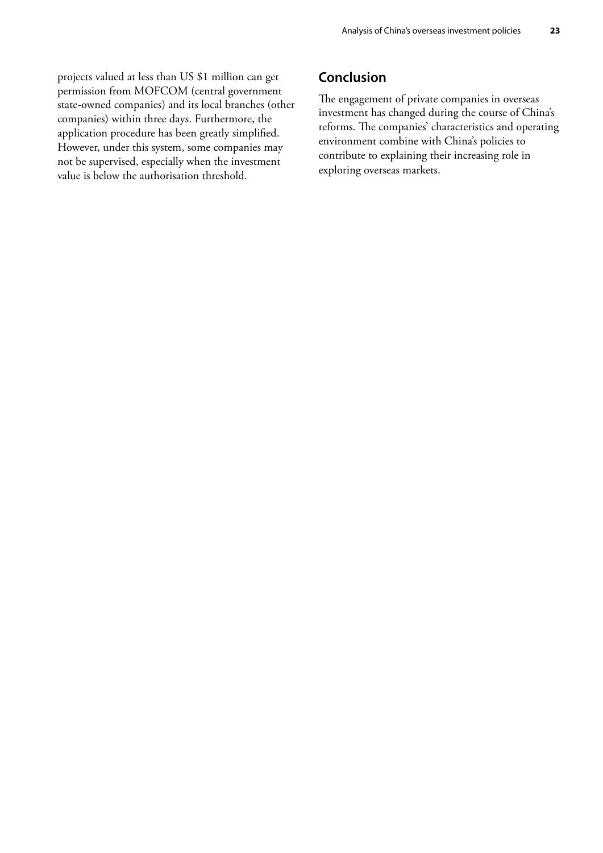projects valued at less than US \$1 million can get permission from MOFCOM (central government state-owned companies) and its local branches (other companies) within three days. Furthermore, the application procedure has been greatly simplified. However, under this system, some companies may not be supervised, especially when the investment value is below the authorisation threshold.

## **Conclusion**

The engagement of private companies in overseas investment has changed during the course of China's reforms. The companies' characteristics and operating environment combine with China's policies to contribute to explaining their increasing role in exploring overseas markets.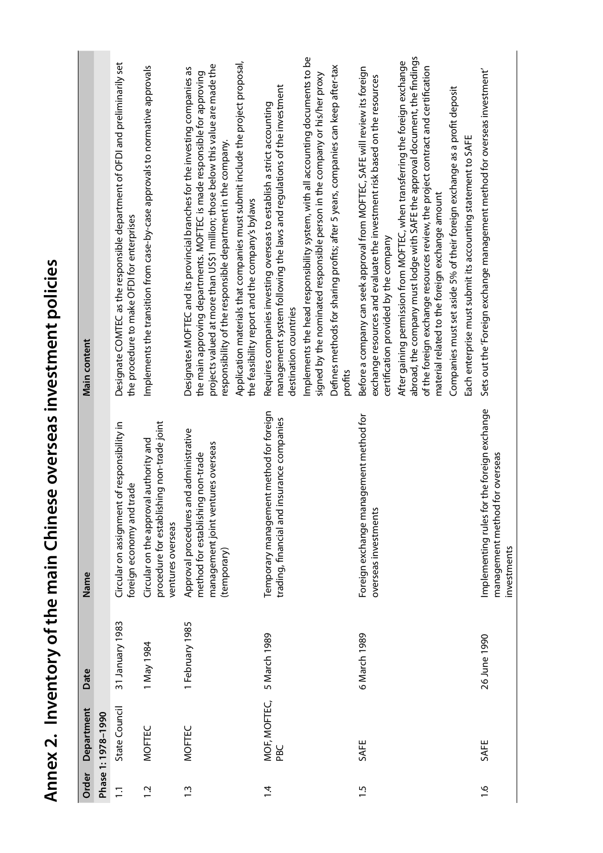<span id="page-33-0"></span>

| <b>Main content</b> |                   | Designate COMTEC as the responsible department of OFDI and preliminarily set<br>the procedure to make OFDI for enterprises | Implements the transition from case-by-case approvals to normative approvals                              | projects valued at more than US\$1 million; those below this value are made the<br>Designates MOFTEC and its provincial branches for the investing companies as<br>the main approving departments. MOFTEC is made responsible for approving<br>responsibility of the responsible department in the company. | Application materials that companies must submit include the project proposal,<br>the feasibility report and the company's bylaws | management system following the laws and regulations of the investment<br>Requires companies investing overseas to establish a strict accounting<br>destination countries<br>insurance companies | Implements the head responsibility system, with all accounting documents to be<br>signed by the nominated responsible person in the company or his/her proxy | Defines methods for sharing profits; after 5 years, companies can keep after-tax<br>profits | Before a company can seek approval from MOFTEC, SAFE will review its foreign<br>exchange resources and evaluate the investment risk based on the resources<br>certification provided by the company | abroad, the company must lodge with SAFE the approval document, the findings<br>After gaining permission from MOFTEC, when transferring the foreign exchange<br>of the foreign exchange resources review, the project contract and certification<br>material related to the foreign exchange amount | Companies must set aside 5% of their foreign exchange as a profit deposit<br>Each enterprise must submit its accounting statement to SAFE | Sets out the 'Foreign exchange management method for overseas investment'<br>for overseas |
|---------------------|-------------------|----------------------------------------------------------------------------------------------------------------------------|-----------------------------------------------------------------------------------------------------------|-------------------------------------------------------------------------------------------------------------------------------------------------------------------------------------------------------------------------------------------------------------------------------------------------------------|-----------------------------------------------------------------------------------------------------------------------------------|--------------------------------------------------------------------------------------------------------------------------------------------------------------------------------------------------|--------------------------------------------------------------------------------------------------------------------------------------------------------------|---------------------------------------------------------------------------------------------|-----------------------------------------------------------------------------------------------------------------------------------------------------------------------------------------------------|-----------------------------------------------------------------------------------------------------------------------------------------------------------------------------------------------------------------------------------------------------------------------------------------------------|-------------------------------------------------------------------------------------------------------------------------------------------|-------------------------------------------------------------------------------------------|
| Name                |                   | Circular on assignment of responsibility in<br>trade<br>foreign economy and                                                | procedure for establishing non-trade joint<br>Circular on the approval authority and<br>ventures overseas | Approval procedures and administrative<br>management joint ventures overseas<br>method for establishing non-trade<br>(temporary)                                                                                                                                                                            |                                                                                                                                   | Temporary management method for foreign<br>trading, financial and                                                                                                                                |                                                                                                                                                              |                                                                                             | Foreign exchange management method for<br>overseas investments                                                                                                                                      |                                                                                                                                                                                                                                                                                                     |                                                                                                                                           | Implementing rules for the foreign exchange<br>management method<br>investments           |
| Date                |                   | 31 January 1983                                                                                                            | 1 May 1984                                                                                                | 1 February 1985                                                                                                                                                                                                                                                                                             |                                                                                                                                   | 5 March 1989                                                                                                                                                                                     |                                                                                                                                                              |                                                                                             | 6 March 1989                                                                                                                                                                                        |                                                                                                                                                                                                                                                                                                     |                                                                                                                                           | 26 June 1990                                                                              |
| Department          | Phase 1:1978-1990 | State Council                                                                                                              | <b>MOFTEC</b>                                                                                             | MOFTEC                                                                                                                                                                                                                                                                                                      |                                                                                                                                   | MOF, MOFTEC,<br>PBC                                                                                                                                                                              |                                                                                                                                                              |                                                                                             | SAFE                                                                                                                                                                                                |                                                                                                                                                                                                                                                                                                     |                                                                                                                                           | SAFE                                                                                      |
| Order               |                   | $\overline{1}$ .                                                                                                           | $\ddot{5}$                                                                                                | $\ddot{.}$                                                                                                                                                                                                                                                                                                  |                                                                                                                                   | $\overline{1}$                                                                                                                                                                                   |                                                                                                                                                              |                                                                                             | 1.5                                                                                                                                                                                                 |                                                                                                                                                                                                                                                                                                     |                                                                                                                                           | $\frac{6}{1}$                                                                             |

Annex 2. Inventory of the main Chinese overseas investment policies **Annex 2. Inventory of the main Chinese overseas investment policies**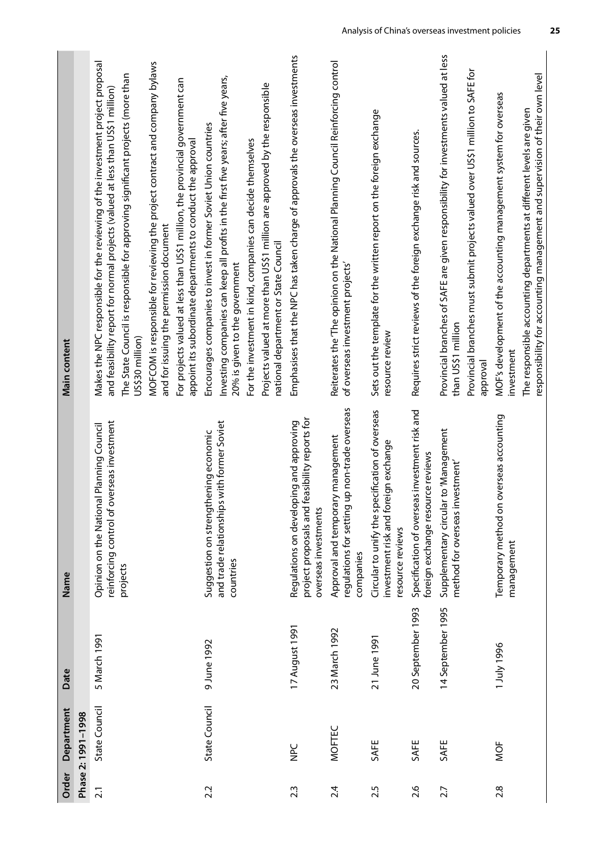| Main content |                    | Makes the NPC responsible for the reviewing of the investment project proposal<br>The State Council is responsible for approving significant projects (more than<br>and feasibility report for normal projects (valued at less than US\$1 million)<br>US\$30 million) | MOFCOM is responsible for reviewing the project contract and company bylaws<br>and for issuing the permission document | For projects valued at less than US\$1 million, the provincial government can<br>appoint its subordinate departments to conduct the approval | Investing companies can keep all profits in the first five years; after five years,<br>Encourages companies to invest in former Soviet Union countries<br>20% is given to the government | Projects valued at more than US\$1 million are approved by the responsible<br>For the investment in kind, companies can decide themselves<br>national department or State Council | Emphasises that the NPC has taken charge of approvals the overseas investments                                      | Reiterates the 'The opinion on the National Planning Council Reinforcing control<br>of overseas investment projects' | Sets out the template for the written report on the foreign exchange<br>resource review                     | Requires strict reviews of the foreign exchange risk and sources.                  | Provincial branches of SAFE are given responsibility for investments valued at less<br>than US\$1 million | Provincial branches must submit projects valued over US\$1 million to SAFE for<br>approval | MOF's development of the accounting management system for overseas<br>investment | responsibility for accounting management and supervision of their own level<br>The responsible accounting departments at different levels are given |
|--------------|--------------------|-----------------------------------------------------------------------------------------------------------------------------------------------------------------------------------------------------------------------------------------------------------------------|------------------------------------------------------------------------------------------------------------------------|----------------------------------------------------------------------------------------------------------------------------------------------|------------------------------------------------------------------------------------------------------------------------------------------------------------------------------------------|-----------------------------------------------------------------------------------------------------------------------------------------------------------------------------------|---------------------------------------------------------------------------------------------------------------------|----------------------------------------------------------------------------------------------------------------------|-------------------------------------------------------------------------------------------------------------|------------------------------------------------------------------------------------|-----------------------------------------------------------------------------------------------------------|--------------------------------------------------------------------------------------------|----------------------------------------------------------------------------------|-----------------------------------------------------------------------------------------------------------------------------------------------------|
| Name         |                    | overseas investment<br>Opinion on the National Planning Council<br>reinforcing control of<br>projects                                                                                                                                                                 |                                                                                                                        |                                                                                                                                              | and trade relationships with former Soviet<br>Suggestion on strengthening economic<br>countries                                                                                          |                                                                                                                                                                                   | feasibility reports for<br>Regulations on developing and approving<br>project proposals and<br>overseas investments | up non-trade overseas<br>Approval and temporary management<br>regulations for setting<br>companies                   | Circular to unify the specification of overseas<br>investment risk and foreign exchange<br>resource reviews | Specification of overseas investment risk and<br>foreign exchange resource reviews | Supplementary circular to 'Management<br>method for overseas investment'                                  |                                                                                            | Temporary method on overseas accounting<br>management                            |                                                                                                                                                     |
| Date         |                    | 5 March 1991                                                                                                                                                                                                                                                          |                                                                                                                        |                                                                                                                                              | 9 June 1992                                                                                                                                                                              |                                                                                                                                                                                   | 17 August 1991                                                                                                      | 23 March 1992                                                                                                        | 21 June 1991                                                                                                | 20 September 1993                                                                  | 14 September 1995                                                                                         |                                                                                            | 1 July 1996                                                                      |                                                                                                                                                     |
| Department   | Phase 2: 1991-1998 | State Council                                                                                                                                                                                                                                                         |                                                                                                                        |                                                                                                                                              | State Council                                                                                                                                                                            |                                                                                                                                                                                   | D<br>PC                                                                                                             | <b>MOFTEC</b>                                                                                                        | SAFE                                                                                                        | SAFE                                                                               | SAFE                                                                                                      |                                                                                            | MOF                                                                              |                                                                                                                                                     |
| Order        |                    | $\overline{2.1}$                                                                                                                                                                                                                                                      |                                                                                                                        |                                                                                                                                              | 2.2                                                                                                                                                                                      |                                                                                                                                                                                   | 2.3                                                                                                                 | 2.4                                                                                                                  | 2.5                                                                                                         | 2.6                                                                                | 2.7                                                                                                       |                                                                                            | 2.8                                                                              |                                                                                                                                                     |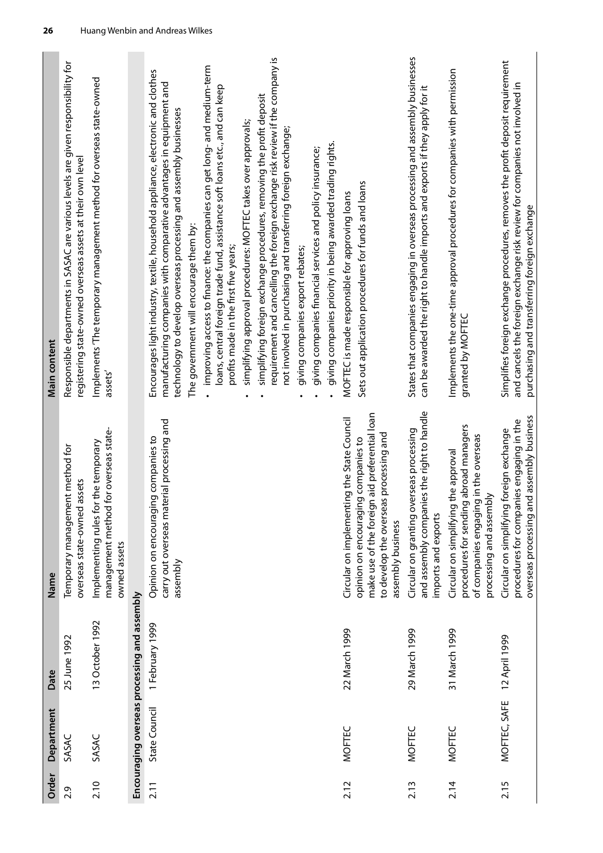| Order | Department    | Date                                         | Name                                                                                                                                                     | Main content                                                                                                                                                                                                                                                           |
|-------|---------------|----------------------------------------------|----------------------------------------------------------------------------------------------------------------------------------------------------------|------------------------------------------------------------------------------------------------------------------------------------------------------------------------------------------------------------------------------------------------------------------------|
| 2.9   | SASAC         | 25 June 1992                                 | Temporary management method for<br>overseas state-owned assets                                                                                           | Responsible departments in SASAC are various levels are given responsibility for<br>registering state-owned overseas assets at their own level                                                                                                                         |
| 2.10  | SASAC         | 13 October 1992                              | for overseas state-<br>Implementing rules for the temporary<br>management method<br>owned assets                                                         | Implements 'The temporary management method for overseas state-owned<br>assets'                                                                                                                                                                                        |
|       |               | Encouraging overseas processing and assembly |                                                                                                                                                          |                                                                                                                                                                                                                                                                        |
| 2.11  | State Council | 1 February 1999                              | carry out overseas material processing and<br>Opinion on encouraging companies to<br>assembly                                                            | Encourages light industry, textile, household appliance, electronic and clothes<br>manufacturing companies with comparative advantages in equipment and<br>technology to develop overseas processing and assembly businesses<br>The government will encourage them by: |
|       |               |                                              |                                                                                                                                                          | improving access to finance: the companies can get long- and medium-term<br>loans, central foreign trade fund, assistance soft loans etc., and can keep<br>profits made in the first five years;                                                                       |
|       |               |                                              |                                                                                                                                                          | simplifying approval procedures: MOFTEC takes over approvals;                                                                                                                                                                                                          |
|       |               |                                              |                                                                                                                                                          | requirement and cancelling the foreign exchange risk review if the company is<br>simplifying foreign exchange procedures, removing the profit deposit<br>not involved in purchasing and transferring foreign exchange;                                                 |
|       |               |                                              |                                                                                                                                                          | giving companies export rebates;                                                                                                                                                                                                                                       |
|       |               |                                              |                                                                                                                                                          | giving companies priority in being awarded trading rights.<br>giving companies financial services and policy insurance;                                                                                                                                                |
| 2.12  | <b>MOFTEC</b> | 22 March 1999                                | Circular on implementing the State Council                                                                                                               | MOFTEC is made responsible for approving loans                                                                                                                                                                                                                         |
|       |               |                                              | n aid preferential loan<br>to develop the overseas processing and<br>opinion on encouraging companies to<br>make use of the foreign<br>assembly business | Sets out application procedures for funds and loans                                                                                                                                                                                                                    |
| 2.13  | <b>MOFTEC</b> | 29 March 1999                                | es the right to handle<br>erseas processing<br>Circular on granting ov<br>and assembly compan<br>imports and exports                                     | States that companies engaging in overseas processing and assembly businesses<br>can be awarded the right to handle imports and exports if they apply for it                                                                                                           |
| 2.14  | <b>MOFTEC</b> | 31 March 1999                                | abroad managers<br>of companies engaging in the overseas<br>the approval<br>processing and assembly<br>procedures for sending<br>Circular on simplifying | Implements the one-time approval procedures for companies with permission<br>granted by MOFTEC                                                                                                                                                                         |
| 2.15  | MOFTEC, SAFE  | 12 April 1999                                | overseas processing and assembly business<br>procedures for companies engaging in the<br>foreign exchange<br>Circular on simplifying                     | Simplifies foreign exchange procedures, removes the profit deposit requirement<br>and cancels the foreign exchange risk review for companies not involved in<br>purchasing and transferring foreign exchange                                                           |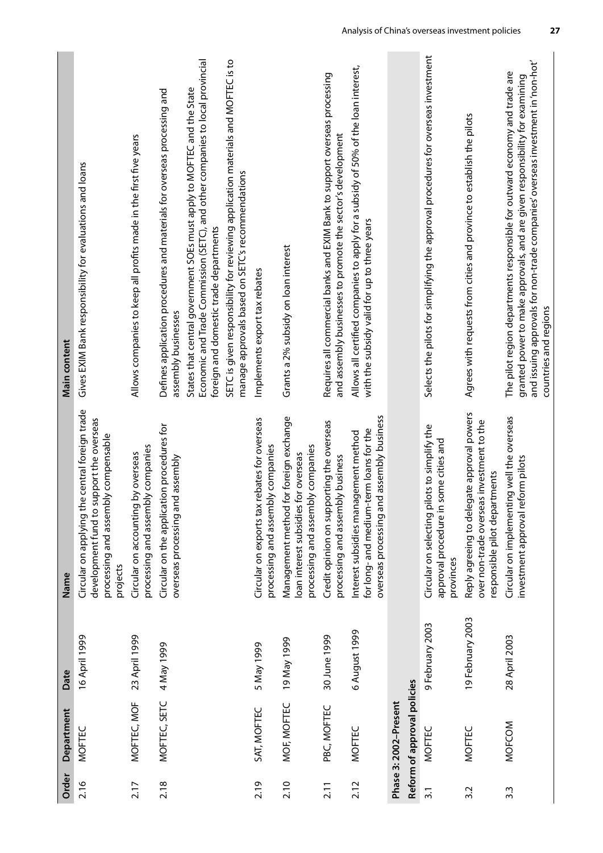| Order            | Department                  | Date             | Name                                                                                                                                              | <b>Main content</b>                                                                                                                                                                                                                                                   |
|------------------|-----------------------------|------------------|---------------------------------------------------------------------------------------------------------------------------------------------------|-----------------------------------------------------------------------------------------------------------------------------------------------------------------------------------------------------------------------------------------------------------------------|
| 2.16             | <b>MOFTEC</b>               | 16 April 1999    | e central foreign trade<br>development fund to support the overseas<br>processing and assembly compensable<br>Circular on applying th<br>projects | Gives EXIM Bank responsibility for evaluations and loans                                                                                                                                                                                                              |
| 2.17             | MOFTEC, MOF                 | 23 April 1999    | processing and assembly companies<br>by overseas<br>Circular on accounting                                                                        | Allows companies to keep all profits made in the first five years                                                                                                                                                                                                     |
| 2.18             | MOFTEC, SETC                | 4 May 1999       | Circular on the application procedures for<br>overseas processing and assembly                                                                    | Defines application procedures and materials for overseas processing and<br>assembly businesses                                                                                                                                                                       |
|                  |                             |                  |                                                                                                                                                   | Economic and Trade Commission (SETC), and other companies to local provincial<br>States that central government SOEs must apply to MOFTEC and the State<br>foreign and domestic trade departments                                                                     |
|                  |                             |                  |                                                                                                                                                   | SETC is given responsibility for reviewing application materials and MOFTEC is to<br>manage approvals based on SETC's recommendations                                                                                                                                 |
| 2.19             | SAT, MOFTEC                 | 5 May 1999       | Circular on exports tax rebates for overseas<br>bly companies<br>processing and assem                                                             | Implements export tax rebates                                                                                                                                                                                                                                         |
| 2.10             | MOF, MOFTEC                 | 19 May 1999      | for foreign exchange<br>processing and assembly companies<br>loan interest subsidies for overseas<br>Management method                            | Grants a 2% subsidy on loan interest                                                                                                                                                                                                                                  |
| 2.11             | PBC, MOFTEC                 | 30 June 1999     | Credit opinion on supporting the overseas<br>processing and assembly business                                                                     | Requires all commercial banks and EXIM Bank to support overseas processing<br>and assembly businesses to promote the sector's development                                                                                                                             |
| 2.12             | <b>MOFTEC</b>               | 6 August 1999    | overseas processing and assembly business<br>for long- and medium-term loans for the<br>Interest subsidies management method                      | Allows all certified companies to apply for a subsidy of 50% of the loan interest,<br>with the subsidy valid for up to three years                                                                                                                                    |
|                  | Phase 3: 2002-Present       |                  |                                                                                                                                                   |                                                                                                                                                                                                                                                                       |
|                  | Reform of approval policies |                  |                                                                                                                                                   |                                                                                                                                                                                                                                                                       |
| $\overline{3.1}$ | <b>MOFTEC</b>               | 9 February 2003  | Circular on selecting pilots to simplify the<br>some cities and<br>approval procedure in<br>provinces                                             | Selects the pilots for simplifying the approval procedures for overseas investment                                                                                                                                                                                    |
| 3.2              | MOFTEC                      | 19 February 2003 | Reply agreeing to delegate approval powers<br>over non-trade overseas investment to the<br>responsible pilot departments                          | Agrees with requests from cities and province to establish the pilots                                                                                                                                                                                                 |
| 3.3              | MOFCOM                      | 28 April 2003    | Circular on implementing well the overseas<br>investment approval reform pilots                                                                   | and issuing approvals for non-trade companies' overseas investment in 'non-hot'<br>The pilot region departments responsible for outward economy and trade are<br>granted power to make approvals, and are given responsibility for examining<br>countries and regions |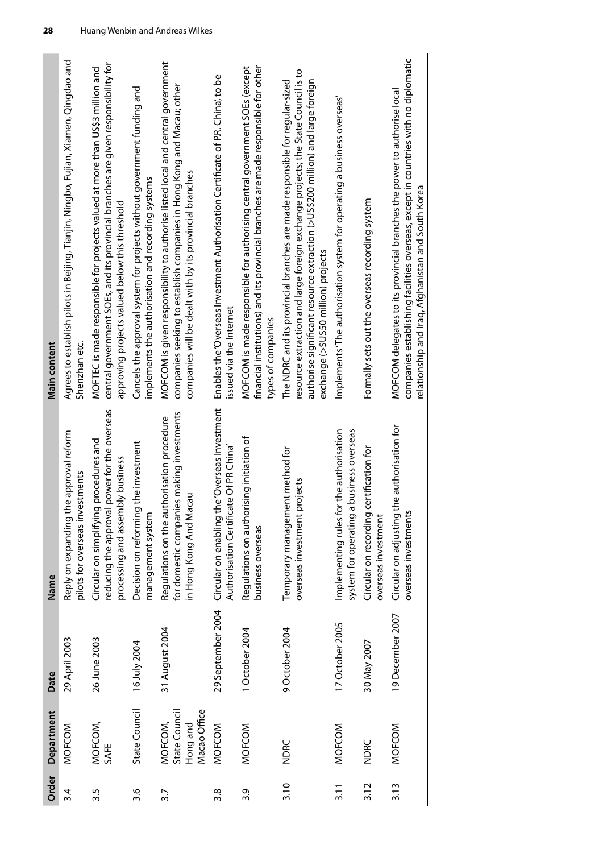| Main content | Agrees to establish pilots in Beijing, Tianjin, Ningbo, Fujian, Xiamen, Qingdao and<br>Shenzhan etc. | central government SOEs, and its provincial branches are given responsibility for<br>MOFTEC is made responsible for projects valued at more than US\$3 million and<br>approving projects valued below this threshold | Cancels the approval system for projects without government funding and<br>implements the authorisation and recording systems | MOFCOM is given responsibility to authorise listed local and central government<br>companies seeking to establish companies in Hong Kong and Macau; other<br>companies will be dealt with by its provincial branches | Enables the 'Overseas Investment Authorisation Certificate of P.R. China', to be<br>issued via the Internet | financial institutions) and its provincial branches are made responsible for other<br>MOFCOM is made responsible for authorising central government SOEs (except<br>types of companies | resource extraction and large foreign exchange projects; the State Council is to<br>$\alpha$ authorise significant resource extraction (>US\$200 million) and large foreign<br>The NDRC and its provincial branches are made responsible for regular-sized<br>exchange (>\$US50 million) projects | Implements 'The authorisation system for operating a business overseas'                 | Formally sets out the overseas recording system                   | companies establishing facilities overseas, except in countries with no diplomatic<br>MOFCOM delegates to its provincial branches the power to authorise local<br>relationship and Iraq, Afghanistan and South Korea |
|--------------|------------------------------------------------------------------------------------------------------|----------------------------------------------------------------------------------------------------------------------------------------------------------------------------------------------------------------------|-------------------------------------------------------------------------------------------------------------------------------|----------------------------------------------------------------------------------------------------------------------------------------------------------------------------------------------------------------------|-------------------------------------------------------------------------------------------------------------|----------------------------------------------------------------------------------------------------------------------------------------------------------------------------------------|---------------------------------------------------------------------------------------------------------------------------------------------------------------------------------------------------------------------------------------------------------------------------------------------------|-----------------------------------------------------------------------------------------|-------------------------------------------------------------------|----------------------------------------------------------------------------------------------------------------------------------------------------------------------------------------------------------------------|
| Name         | ne approval reform<br>pilots for overseas investments<br>Reply on expanding th                       | power for the overseas<br>procedures and<br>processing and assembly business<br>Circular on simplifying<br>reducing the approval                                                                                     | the investment<br>Decision on reforming<br>management system                                                                  | for domestic companies making investments<br>Regulations on the authorisation procedure<br>in Hong Kong And Macau                                                                                                    | Circular on enabling the 'Overseas Investment<br>Authorisation Certificate Of PR China'                     | Regulations on authorising initiation of<br>business overseas                                                                                                                          | Temporary management method for<br>overseas investment projects                                                                                                                                                                                                                                   | Implementing rules for the authorisation<br>business overseas<br>system for operating a | certification for<br>Circular on recording<br>overseas investment | Circular on adjusting the authorisation for<br>overseas investments                                                                                                                                                  |
| Date         | 29 April 2003                                                                                        | 26 June 2003                                                                                                                                                                                                         | 16 July 2004                                                                                                                  | 31 August 2004                                                                                                                                                                                                       | 29 September 2004                                                                                           | 1 October 2004                                                                                                                                                                         | 9 October 2004                                                                                                                                                                                                                                                                                    | 17 October 2005                                                                         | 30 May 2007                                                       | 19 December 2007                                                                                                                                                                                                     |
| Department   | MOFCOM                                                                                               | MOFCOM,<br>SAFE                                                                                                                                                                                                      | State Council                                                                                                                 | Macao Office<br>State Council<br>MOFCOM,<br>Hong and                                                                                                                                                                 | MOFCOM                                                                                                      | MOFCOM                                                                                                                                                                                 | <b>NDRC</b>                                                                                                                                                                                                                                                                                       | MOFCOM                                                                                  | <b>NDRC</b>                                                       | MOFCOM                                                                                                                                                                                                               |
| Order        | 3.4                                                                                                  | 3.5                                                                                                                                                                                                                  | 3.6                                                                                                                           | 3.7                                                                                                                                                                                                                  | 3.8                                                                                                         | 3.9                                                                                                                                                                                    | 3.10                                                                                                                                                                                                                                                                                              | 3.11                                                                                    | 3.12                                                              | 3.13                                                                                                                                                                                                                 |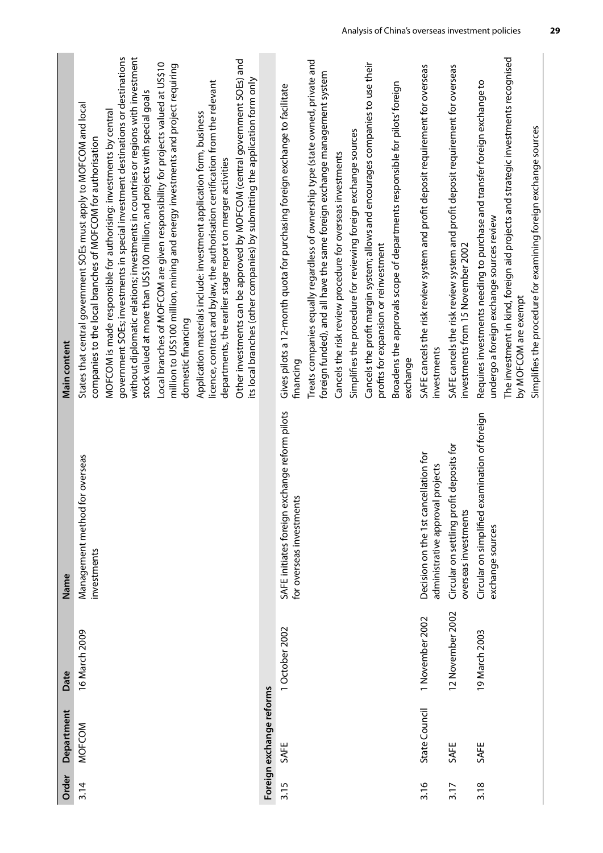| Department<br><b>MOFCOM</b>               | 16 March 2009<br>Date | for overseas<br>Management method<br>investments<br>Name                  | government SOEs; investments in special investment destinations or destinations<br>States that central government SOEs must apply to MOFCOM and local<br>MOFCOM is made responsible for authorising: investments by central<br>companies to the local branches of MOFCOM for authorisation<br><b>Main content</b>                                                                 |
|-------------------------------------------|-----------------------|---------------------------------------------------------------------------|-----------------------------------------------------------------------------------------------------------------------------------------------------------------------------------------------------------------------------------------------------------------------------------------------------------------------------------------------------------------------------------|
|                                           |                       |                                                                           | without diplomatic relations; investments in countries or regions with investment<br>Local branches of MOFCOM are given responsibility for projects valued at US\$10<br>million to US\$100 million, mining and energy investments and project requiring<br>stock valued at more than US\$100 million; and projects with special goals<br>domestic financing                       |
|                                           |                       |                                                                           | Other investments can be approved by MOFCOM (central government SOEs) and<br>its local branches (other companies) by submitting the application form only<br>licence, contract and bylaw, the authorisation certification from the relevant<br>Application materials include: investment application form, business<br>departments, the earlier stage report on merger activities |
| Foreign exchange reforms                  |                       |                                                                           |                                                                                                                                                                                                                                                                                                                                                                                   |
| 1 October 2002<br>SAFE                    |                       | SAFE initiates foreign exchange reform pilots<br>for overseas investments | Gives pilots a 12-month quota for purchasing foreign exchange to facilitate<br>financing                                                                                                                                                                                                                                                                                          |
|                                           |                       |                                                                           | Treats companies equally regardless of ownership type (state owned, private and<br>foreign funded), and all have the same foreign exchange management system                                                                                                                                                                                                                      |
|                                           |                       |                                                                           | Simplifies the procedure for reviewing foreign exchange sources<br>Cancels the risk review procedure for overseas investments                                                                                                                                                                                                                                                     |
|                                           |                       |                                                                           | Cancels the profit margin system; allows and encourages companies to use their<br>profits for expansion or reinvestment                                                                                                                                                                                                                                                           |
|                                           |                       |                                                                           | Broadens the approvals scope of departments responsible for pilots' foreign<br>exchange                                                                                                                                                                                                                                                                                           |
| 1 November 2002<br>State Council          |                       | Decision on the 1st cancellation for<br>administrative approval projects  | SAFE cancels the risk review system and profit deposit requirement for overseas<br>investments                                                                                                                                                                                                                                                                                    |
| 12 November 2002<br>SAFE                  |                       | Circular on settling profit deposits for<br>overseas investments          | SAFE cancels the risk review system and profit deposit requirement for overseas<br>investments from 15 November 2002                                                                                                                                                                                                                                                              |
| exchange sources<br>19 March 2003<br>SAFE |                       | Circular on simplified examination of foreign                             | Requires investments needing to purchase and transfer foreign exchange to<br>undergo a foreign exchange sources review                                                                                                                                                                                                                                                            |
|                                           |                       |                                                                           | The investment in kind, foreign aid projects and strategic investments recognised<br>by MOFCOM are exempt                                                                                                                                                                                                                                                                         |
|                                           |                       |                                                                           | Simplifies the procedure for examining foreign exchange sources                                                                                                                                                                                                                                                                                                                   |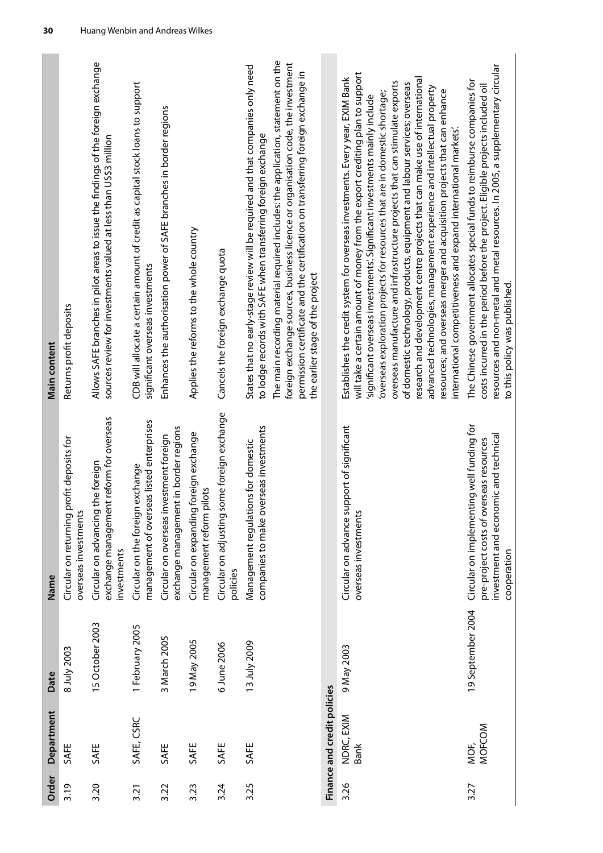| Main content | Returns profit deposits                                              | Allows SAFE branches in pilot areas to issue the findings of the foreign exchange<br>sources review for investments valued at less than US\$3 million | CDB will allocate a certain amount of credit as capital stock loans to support<br>significant overseas investments | Enhances the authorisation power of SAFE branches in border regions              | Applies the reforms to the whole country                              | Cancels the foreign exchange quota                      | The main recording material required includes: the application, statement on the<br>foreign exchange sources, business licence or organisation code, the investment<br>States that no early-stage review will be required and that companies only need<br>permission certificate and the certification on transferring foreign exchange in<br>to lodge records with SAFE when transferring foreign exchange<br>the earlier stage of the project |                             | will take a certain amount of money from the export crediting plan to support<br>Establishes the credit system for overseas investments. Every year, EXIM Bank<br>research and development centre projects that can make use of international<br>overseas manufacture and infrastructure projects that can stimulate exports<br>of domestic technology, products, equipment and labour services; overseas<br>advanced technologies, management experience and intellectual property<br>resources; and overseas merger and acquisition projects that can enhance<br>overseas exploration projects for resources that are in domestic shortage;<br>significant overseas investments'. Significant investments mainly include<br>international competitiveness and expand international markets. | resources and non-metal and metal resources. In 2005, a supplementary circular<br>The Chinese government allocates special funds to reimburse companies for<br>costs incurred in the period before the project. Eligible projects included oil<br>to this policy was published. |
|--------------|----------------------------------------------------------------------|-------------------------------------------------------------------------------------------------------------------------------------------------------|--------------------------------------------------------------------------------------------------------------------|----------------------------------------------------------------------------------|-----------------------------------------------------------------------|---------------------------------------------------------|-------------------------------------------------------------------------------------------------------------------------------------------------------------------------------------------------------------------------------------------------------------------------------------------------------------------------------------------------------------------------------------------------------------------------------------------------|-----------------------------|-----------------------------------------------------------------------------------------------------------------------------------------------------------------------------------------------------------------------------------------------------------------------------------------------------------------------------------------------------------------------------------------------------------------------------------------------------------------------------------------------------------------------------------------------------------------------------------------------------------------------------------------------------------------------------------------------------------------------------------------------------------------------------------------------|---------------------------------------------------------------------------------------------------------------------------------------------------------------------------------------------------------------------------------------------------------------------------------|
| Name         | profit deposits for<br>overseas investments<br>Circular on returning | exchange management reform for overseas<br>Circular on advancing the foreign<br>investments                                                           | management of overseas listed enterprises<br>Circular on the foreign exchange                                      | exchange management in border regions<br>Circular on overseas investment foreign | Circular on expanding foreign exchange<br>pilots<br>management reform | Circular on adjusting some foreign exchange<br>policies | companies to make overseas investments<br>Management regulations for domestic                                                                                                                                                                                                                                                                                                                                                                   |                             | Circular on advance support of significant<br>overseas investments                                                                                                                                                                                                                                                                                                                                                                                                                                                                                                                                                                                                                                                                                                                            | Circular on implementing well funding for<br>investment and economic and technical<br>pre-project costs of overseas resources<br>cooperation                                                                                                                                    |
| Date         | 8 July 2003                                                          | 15 October 2003                                                                                                                                       | 1 February 2005                                                                                                    | 3 March 2005                                                                     | 19 May 2005                                                           | 6 June 2006                                             | 13 July 2009                                                                                                                                                                                                                                                                                                                                                                                                                                    |                             | 9 May 2003                                                                                                                                                                                                                                                                                                                                                                                                                                                                                                                                                                                                                                                                                                                                                                                    | 19 September 2004                                                                                                                                                                                                                                                               |
| Department   | SAFE                                                                 | SAFE                                                                                                                                                  | SAFE, CSRC                                                                                                         | SAFE                                                                             | SAFE                                                                  | SAFE                                                    | SAFE                                                                                                                                                                                                                                                                                                                                                                                                                                            | Finance and credit policies | NDRC, EXIM<br><b>Bank</b>                                                                                                                                                                                                                                                                                                                                                                                                                                                                                                                                                                                                                                                                                                                                                                     | MOFCOM<br>MOF,                                                                                                                                                                                                                                                                  |
| Order        | 3.19                                                                 | 3.20                                                                                                                                                  | 3.21                                                                                                               | 3.22                                                                             | 3.23                                                                  | 3.24                                                    | 3.25                                                                                                                                                                                                                                                                                                                                                                                                                                            |                             | 3.26                                                                                                                                                                                                                                                                                                                                                                                                                                                                                                                                                                                                                                                                                                                                                                                          | 3.27                                                                                                                                                                                                                                                                            |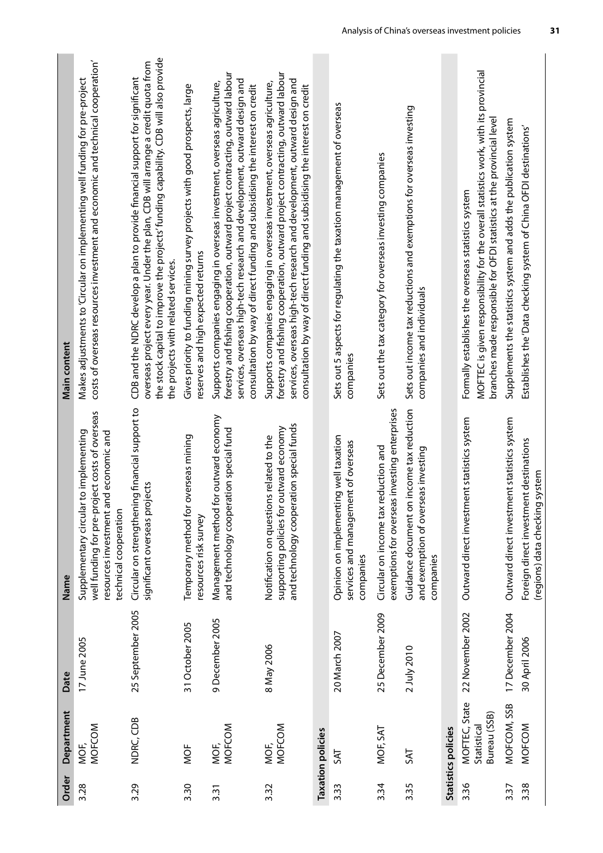| Order | Department                                   | Date              | Name                                                                                                                                                               | Main content                                                                                                                                                                                                                                                                                                            |
|-------|----------------------------------------------|-------------------|--------------------------------------------------------------------------------------------------------------------------------------------------------------------|-------------------------------------------------------------------------------------------------------------------------------------------------------------------------------------------------------------------------------------------------------------------------------------------------------------------------|
| 3.28  | MOFCOM<br>MOF,                               | 17 June 2005      | well funding for pre-project costs of overseas<br>lar to implementing<br>and economic and<br>resources investment<br>technical cooperation<br>Supplementary circul | costs of overseas resources investment and economic and technical cooperation'<br>Makes adjustments to 'Circular on implementing well funding for pre-project                                                                                                                                                           |
| 3.29  | NDRC, CDB                                    | 25 September 2005 | Circular on strengthening financial support to<br>significant overseas projects                                                                                    | the stock capital to improve the projects' funding capability. CDB will also provide<br>overseas project every year. Under the plan, CDB will arrange a credit quota from<br>CDB and the NDRC develop a plan to provide financial support for significant<br>the projects with related services.                        |
| 3.30  | MOF                                          | 31 October 2005   | Temporary method for overseas mining<br>resources risk survey                                                                                                      | Gives priority to funding mining survey projects with good prospects, large<br>reserves and high expected returns                                                                                                                                                                                                       |
| 3.31  | <b>MOFCOM</b><br>MOF,                        | 9 December 2005   | Management method for outward economy<br>and technology cooperation special fund                                                                                   | forestry and fishing cooperation, outward project contracting, outward labour<br>services, overseas high-tech research and development, outward design and<br>Supports companies engaging in overseas investment, overseas agriculture,<br>consultation by way of direct funding and subsidising the interest on credit |
| 3.32  | MOFCOM<br>MOF,                               | 8 May 2006        | and technology cooperation special funds<br>supporting policies for outward economy<br>Notification on questions related to the                                    | forestry and fishing cooperation, outward project contracting, outward labour<br>services, overseas high-tech research and development, outward design and<br>Supports companies engaging in overseas investment, overseas agriculture,<br>consultation by way of direct funding and subsidising the interest on credit |
|       | <b>Taxation policies</b>                     |                   |                                                                                                                                                                    |                                                                                                                                                                                                                                                                                                                         |
| 3.33  | ZК                                           | 20 March 2007     | Opinion on implementing well taxation<br>services and management of overseas<br>companies                                                                          | Sets out 5 aspects for regulating the taxation management of overseas<br>companies                                                                                                                                                                                                                                      |
| 3.34  | MOF, SAT                                     | 25 December 2009  | exemptions for overseas investing enterprises<br>Circular on income tax reduction and                                                                              | Sets out the tax category for overseas investing companies                                                                                                                                                                                                                                                              |
| 3.35  | <b>TAS</b>                                   | 2 July 2010       | Guidance document on income tax reduction<br>and exemption of overseas investing<br>companies                                                                      | Sets out income tax reductions and exemptions for overseas investing<br>companies and individuals                                                                                                                                                                                                                       |
|       | Statistics policies                          |                   |                                                                                                                                                                    |                                                                                                                                                                                                                                                                                                                         |
| 3.36  | MOFTEC, State<br>Bureau (SSB)<br>Statistical | 22 November 2002  | Outward direct investment statistics system                                                                                                                        | MOFTEC is given responsibility for the overall statistics work, with its provincial<br>branches made responsible for OFDI statistics at the provincial level<br>Formally establishes the overseas statistics system                                                                                                     |
| 3.37  | MOFCOM, SSB                                  | 17 December 2004  | Outward direct investment statistics system                                                                                                                        | Supplements the statistics system and adds the publication system                                                                                                                                                                                                                                                       |
| 3.38  | MOFCOM                                       | 30 April 2006     | Foreign direct investment destinations<br>(regions) data checking system                                                                                           | Establishes the 'Data checking system of China OFDI destinations'                                                                                                                                                                                                                                                       |

**Contract** 

**College** 

**College**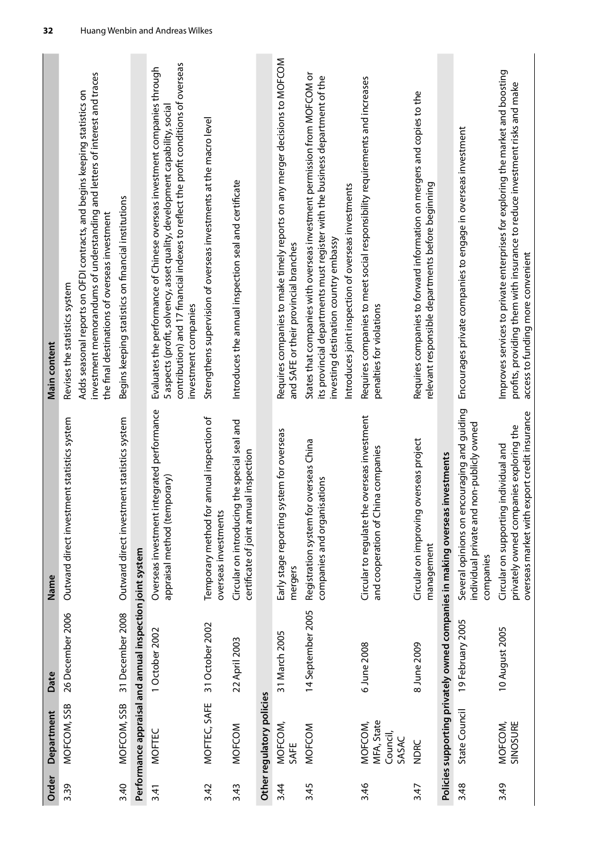| Order | Department                                 | Date                                                     | Name                                                                                                                             | Main content                                                                                                                                                                                                                                                            |
|-------|--------------------------------------------|----------------------------------------------------------|----------------------------------------------------------------------------------------------------------------------------------|-------------------------------------------------------------------------------------------------------------------------------------------------------------------------------------------------------------------------------------------------------------------------|
| 3.39  | MOFCOM, SSB                                | 26 December 2006                                         | Outward direct investment statistics system                                                                                      | investment memorandums of understanding and letters of interest and traces<br>Adds seasonal reports on OFDI contracts, and begins keeping statistics on<br>the final destinations of overseas investment<br>Revises the statistics system                               |
| 3.40  | MOFCOM, SSB                                | 31 December 2008                                         | Outward direct investment statistics system                                                                                      | Begins keeping statistics on financial institutions                                                                                                                                                                                                                     |
|       |                                            | Performance appraisal and annual inspection joint system |                                                                                                                                  |                                                                                                                                                                                                                                                                         |
| 3.41  | <b>MOFTEC</b>                              | 1 October 2002                                           | Overseas investment integrated performance<br>appraisal method (temporary)                                                       | contribution) and 17 financial indexes to reflect the profit conditions of overseas<br>Evaluates the performance of Chinese overseas investment companies through<br>5 aspects (profit, solvency, asset quality, development capability, social<br>investment companies |
| 3.42  | MOFTEC, SAFE                               | 31 October 2002                                          | Temporary method for annual inspection of<br>overseas investments                                                                | Strengthens supervision of overseas investments at the macro level                                                                                                                                                                                                      |
| 3.43  | MOFCOM                                     | 22 April 2003                                            | Circular on introducing the special seal and<br>certificate of joint annual inspection                                           | Introduces the annual inspection seal and certificate                                                                                                                                                                                                                   |
|       | Other regulatory policies                  |                                                          |                                                                                                                                  |                                                                                                                                                                                                                                                                         |
| 3.44  | MOFCOM,<br>SAFE                            | 31 March 2005                                            | Early stage reporting system for overseas<br>mergers                                                                             | Requires companies to make timely reports on any merger decisions to MOFCOM<br>and SAFE or their provincial branches                                                                                                                                                    |
| 3.45  | MOFCOM                                     | 14 September 2005                                        | Registration system for overseas China<br>isations<br>companies and organi                                                       | States that companies with overseas investment permission from MOFCOM or<br>its provincial departments must register with the business department of the<br>Introduces joint inspection of overseas investments<br>investing destination country embassy                |
| 3.46  | MFA, State<br>MOFCOM,<br>Council,<br>SASAC | 6 June 2008                                              | Circular to regulate the overseas investment<br>and cooperation of China companies                                               | Requires companies to meet social responsibility requirements and increases<br>penalties for violations                                                                                                                                                                 |
| 3.47  | <b>NDRC</b>                                | 8 June 2009                                              | overseas project<br>Circular on improving<br>management                                                                          | Requires companies to forward information on mergers and copies to the<br>relevant responsible departments before beginning                                                                                                                                             |
|       |                                            |                                                          | investments<br>Policies supporting privately owned companies in making overseas                                                  |                                                                                                                                                                                                                                                                         |
| 3.48  | State Council                              | 19 February 2005                                         | ncouraging and guiding<br>non-publicly owned<br>individual private and<br>Several opinions on en<br>companies                    | Encourages private companies to engage in overseas investment                                                                                                                                                                                                           |
| 3.49  | MOFCOM,<br>SINOSURE                        | 10 August 2005                                           | overseas market with export credit insurance<br>privately owned companies exploring the<br>Circular on supporting individual and | Improves services to private enterprises for exploring the market and boosting<br>profits, providing them with insurance to reduce investment risks and make<br>access to funding more convenient                                                                       |